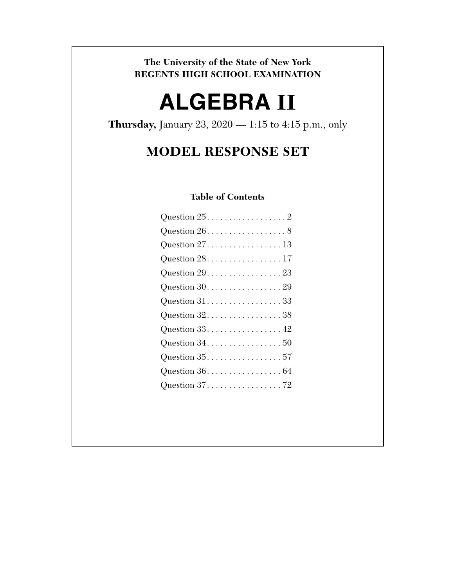## **The University of the State of New York REGENTS HIGH SCHOOL EXAMINATION**

# **ALGEBRA II**

**Thursday,** January 23, 2020 — 1:15 to 4:15 p.m., only

## **MODEL RESPONSE SET**

## **Table of Contents**

| Question $25.$ 2                                     |  |  |  |  |  |  |  |  |
|------------------------------------------------------|--|--|--|--|--|--|--|--|
| Question $26. \ldots \ldots \ldots \ldots \ldots 8$  |  |  |  |  |  |  |  |  |
| Question $27.$ 13                                    |  |  |  |  |  |  |  |  |
| Question $28.$ 17                                    |  |  |  |  |  |  |  |  |
| Question $29. \ldots \ldots \ldots \ldots \ldots 23$ |  |  |  |  |  |  |  |  |
| Question $30.0000000000000000000000$                 |  |  |  |  |  |  |  |  |
| Question $31. \ldots. \ldots. \ldots. \ldots. 33$    |  |  |  |  |  |  |  |  |
| Question $32.$ 38                                    |  |  |  |  |  |  |  |  |
|                                                      |  |  |  |  |  |  |  |  |
|                                                      |  |  |  |  |  |  |  |  |
| Question 3557                                        |  |  |  |  |  |  |  |  |
|                                                      |  |  |  |  |  |  |  |  |
|                                                      |  |  |  |  |  |  |  |  |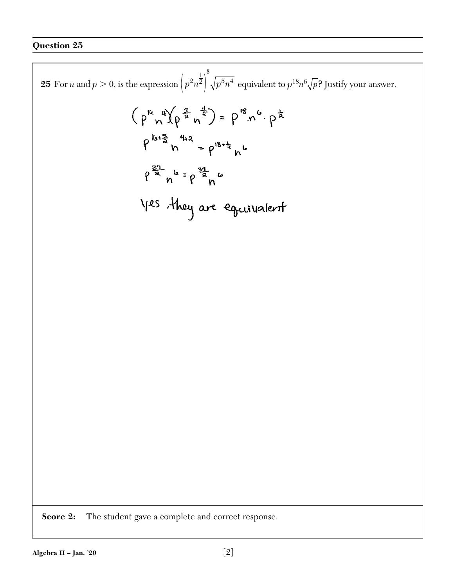8 **25** For *n* and  $p > 0$ , is the expression  $\left(p^2n^{\frac{1}{2}}\right)^6\sqrt{p^5n^4}$  $\left( p^2n^2\right) \, \sqrt{p^5}n^4\,$  equivalent to  $p^{18}n^6\sqrt{p^{\,2}}$  Justify your answer.  $(\rho^{ik}n^{4})\left(\rho^{\frac{5}{2}}n^{\frac{1}{3}}\right) = \rho^{18}n^{6}\cdot \rho^{\frac{1}{2}}$  $P^{16+\frac{5}{2}}h^{4+2} = P^{18+\frac{1}{2}}h^{6}$  $9^{\frac{37}{2}} n^{6}$  =  $9^{\frac{37}{2}} n^{6}$ yes they are equivalent **Score 2:** The student gave a complete and correct response.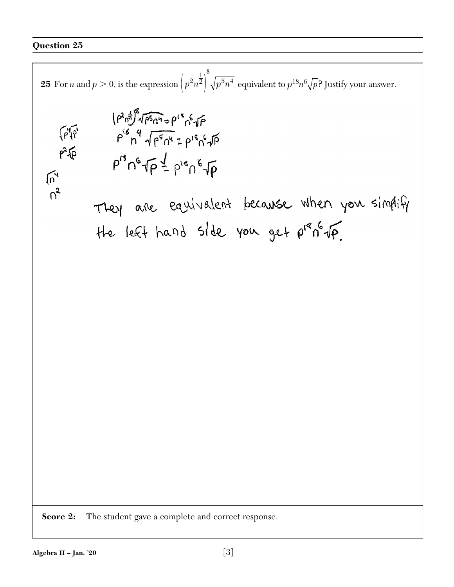8 **25** For *n* and  $p > 0$ , is the expression  $\left(p^2n^{\frac{1}{2}}\right)^6\sqrt{p^5n^4}$  $\left( p^2n^2\right) \, \sqrt{p^5}n^4\,$  equivalent to  $p^{18}n^6\sqrt{p^{\,2}}$  Justify your answer.  $\left( \rho^2 n^{\frac{1}{3}} \right)^8 \sqrt{\rho^5 n^4} = \rho^1 {^8} n^6 \sqrt{\rho}$  $P_{16}P_{26}P_{36}P_{46}P_{50}P_{60}P_{80}P_{90}P_{180}P_{190}P_{180}P_{190}P_{180}P_{190}P_{190}P_{190}P_{190}P_{190}P_{190}P_{190}P_{190}P_{190}P_{190}P_{190}P_{190}P_{190}P_{190}P_{190}P_{190}P_{190}P_{190}P_{190}P_{190}P_{190}P_{190}P_{190}P_{190}P_{190}$  $\sqrt{n}$  $n^2$ They are equivalent because when you simplify the left hand side you get  $\rho^{18}n^6\sqrt{p}$ . **Score 2:** The student gave a complete and correct response.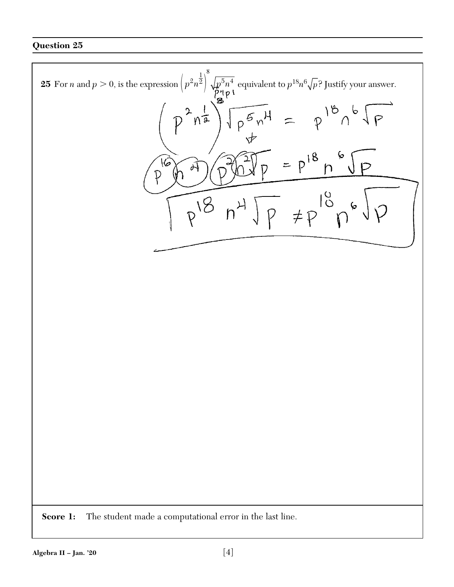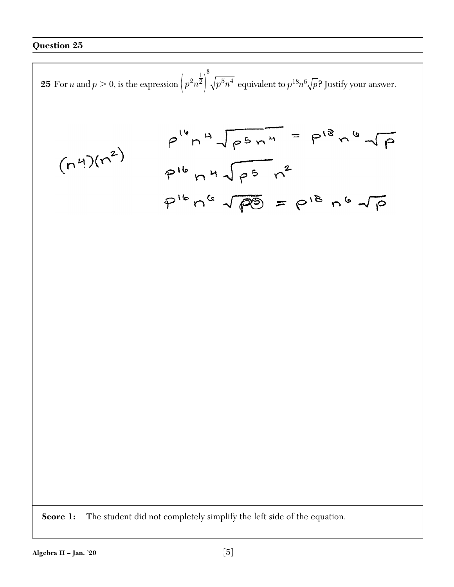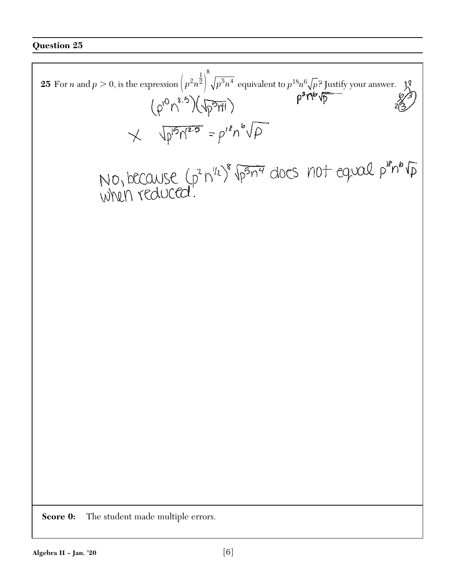8 **25** For *n* and  $p > 0$ , is the expression  $\left(p^2n^{\frac{1}{2}}\right)^6\sqrt{p^5n^4}$  $\left( p^2n^2\right) \, \sqrt{p^5}n^4\,$  equivalent to  $p^{18}n^6\sqrt{p^{\,2}}$  Justify your answer.  $\lambda^2$  $(\rho^{0}n^{8.5})(\sqrt{p^{5}m})$  $X$   $\sqrt{p^{15}n^{12.5}} = p'^{8}n^{6}\sqrt{p}$ NO, because (p<sup>2</sup> n<sup>1/2)</sup> p<sup>5</sup>n<sup>4</sup> docs not equal p<sup>18</sup>n<sup>6</sup> (p<br>when reduced. **Score 0:** The student made multiple errors.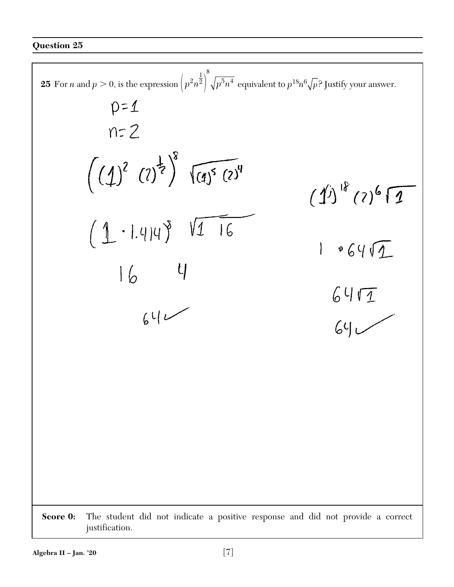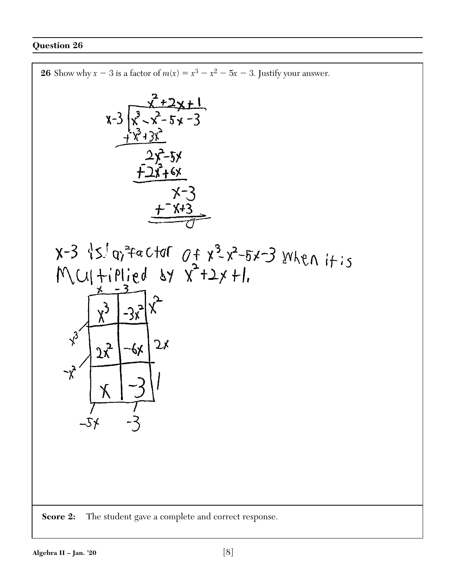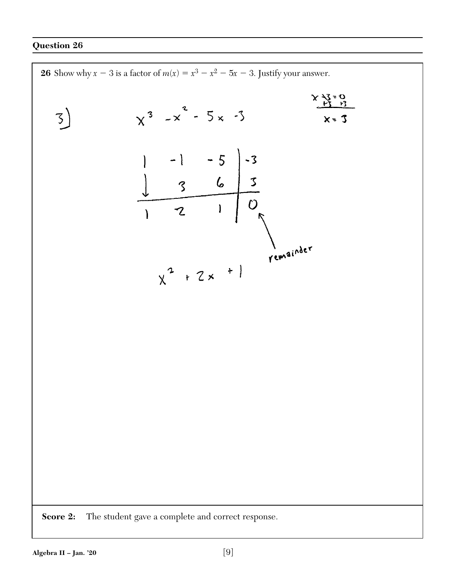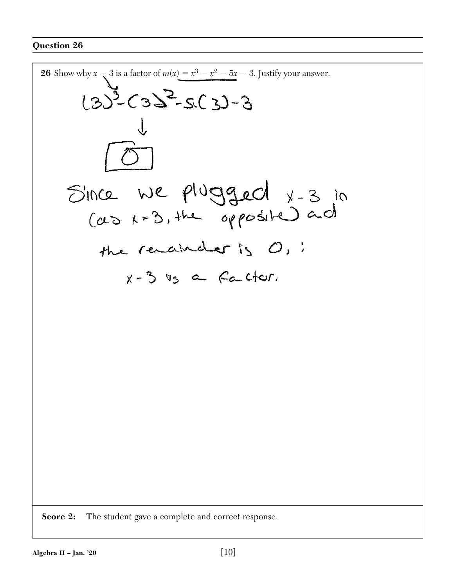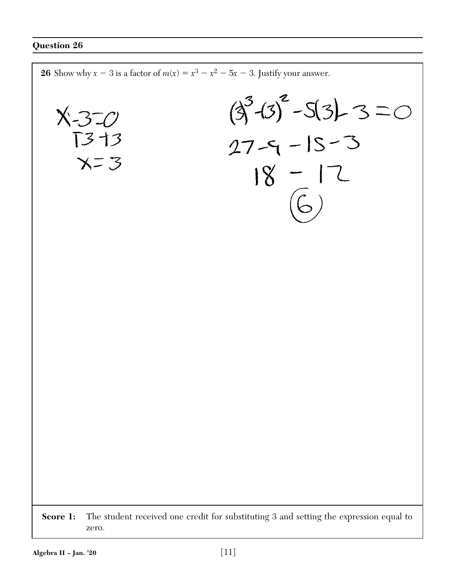**26** Show why  $x - 3$  is a factor of  $m(x) = x^3 - x^2 - 5x - 3$ . Justify your answer.  $(3^{3}-13)^{2}-5(3)-3=0$  $X - 3 = 0$  $27 - 9 - 15 - 3$ 13 +3  $X = 3$  $18 - 12$ **Score 1:** The student received one credit for substituting 3 and setting the expression equal to zero.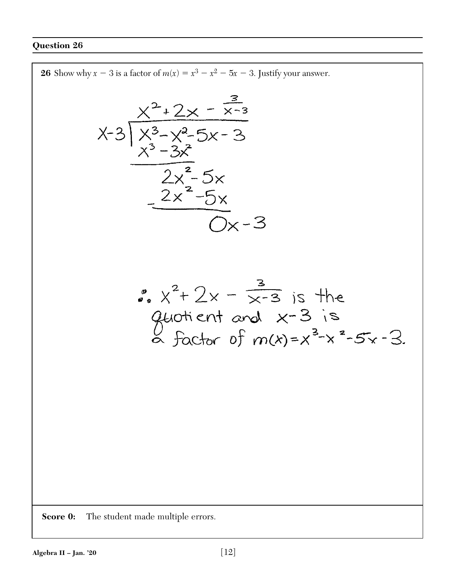26 Show why 
$$
x = 3
$$
 is a factor of  $m(x) = x^3 - x^2 - 5x - 3$ . Justify your answer.  
\n
$$
x^2 + 2x - \frac{3}{x-3}
$$
\n
$$
x^3 - 3x^2
$$
\n
$$
x^3 - 3x^2
$$
\n
$$
2x^2 - 5x
$$
\n
$$
2x^2 - 5x
$$
\n
$$
2x^2 - 5x
$$
\n
$$
2x^2 - 5x
$$
\n
$$
2x^2 - 5x
$$
\n
$$
2x^2 - 5x
$$
\n
$$
2x^2 - 5x
$$
\n
$$
2x^2 - 5x
$$
\n
$$
2x^2 - 5x
$$
\n
$$
2x^2 - 5x
$$
\n
$$
2x^2 - 5x
$$
\n
$$
2x^2 - 5x
$$
\n
$$
2x^2 - 5x
$$
\n
$$
2x^2 - 5x
$$
\n
$$
2x^2 - 5x
$$
\n
$$
2x^2 - 5x
$$
\n
$$
2x^2 - 5x
$$
\n
$$
2x^2 - 5x
$$
\n
$$
2x^2 - 5x
$$
\n
$$
2x^2 - 5x
$$
\n
$$
2x^2 - 5x
$$
\n
$$
2x^2 - 5x
$$
\n
$$
2x^2 - 5x
$$
\n
$$
2x^2 - 5x
$$
\n
$$
2x^2 - 5x
$$
\n
$$
2x^2 - 5x
$$
\n
$$
2x^2 - 5x
$$
\n
$$
2x^2 - 5x
$$
\n
$$
2x^2 - 5x
$$
\n
$$
2x^2 - 5x
$$
\n
$$
2x^2 - 5x
$$
\n
$$
2x^2 - 5x
$$
\n
$$
2x^2 - 5x
$$
\n
$$
2x^2 - 5x
$$
\n
$$
2x^2 - 5x
$$
\n
$$
2x^2 - 5x
$$
\n<math display="block</p>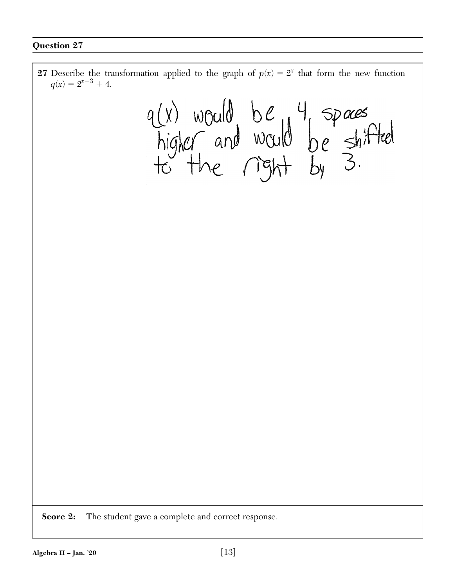**27** Describe the transformation applied to the graph of  $p(x) = 2^x$  that form the new function  $q(x) = 2^{x-3} + 4.$ q(x) would be 4 spaces<br>higher and would be shifted<br>to the right by 3. **Score 2:** The student gave a complete and correct response.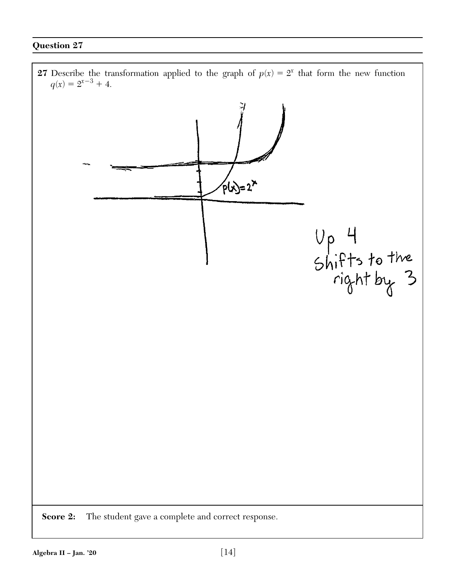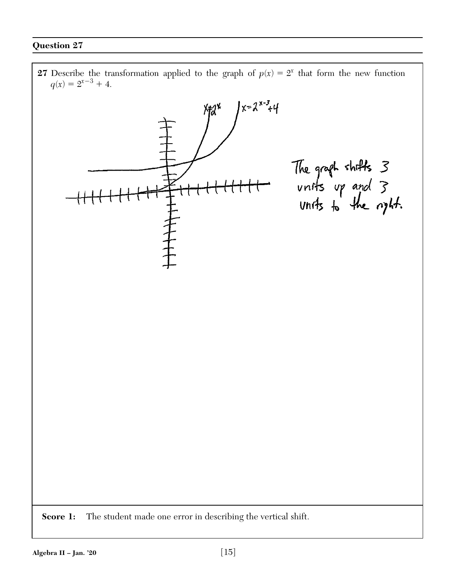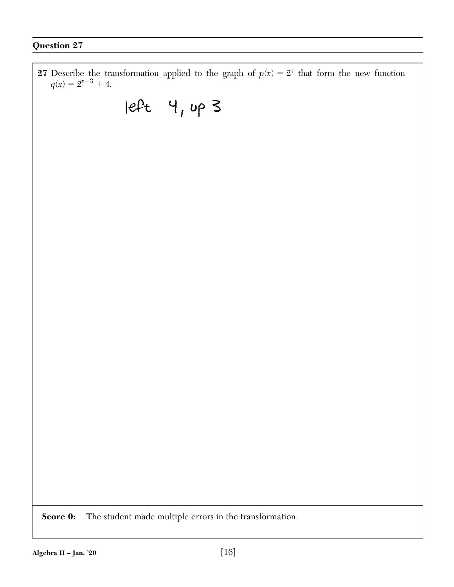**27** Describe the transformation applied to the graph of  $p(x) = 2^x$  that form the new function  $q(x) = 2^{x-3} + 4.$  $|eft$  4, up 3 **Score 0:** The student made multiple errors in the transformation.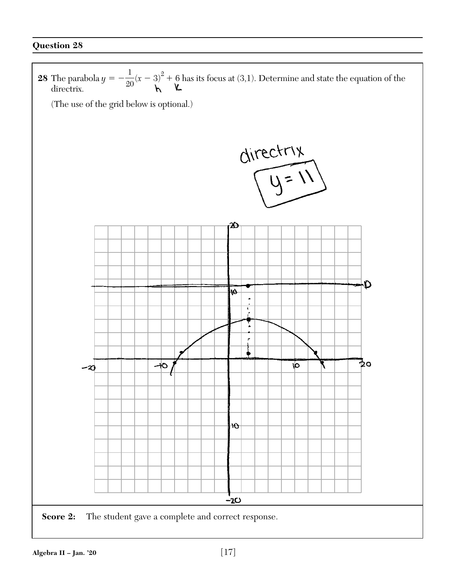![](_page_16_Figure_1.jpeg)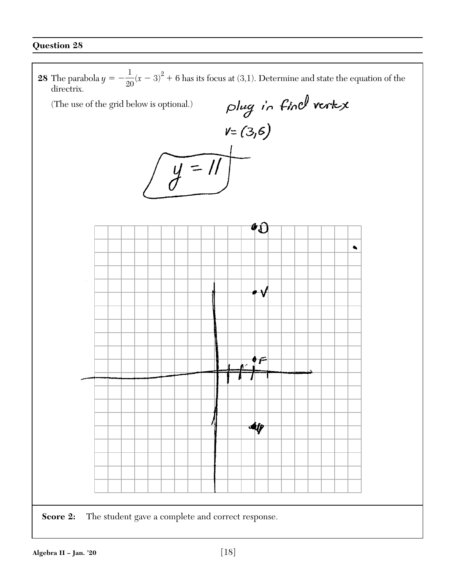![](_page_17_Picture_1.jpeg)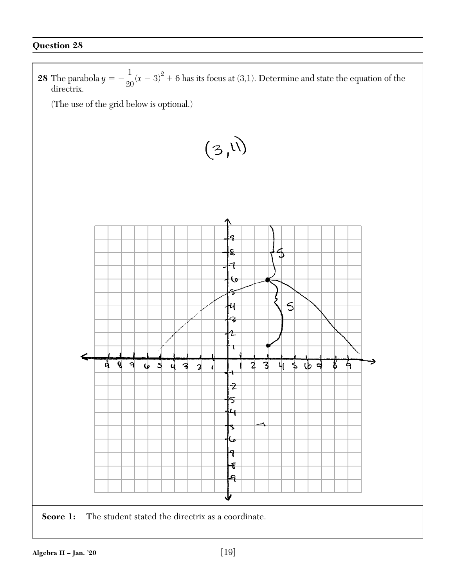![](_page_18_Figure_1.jpeg)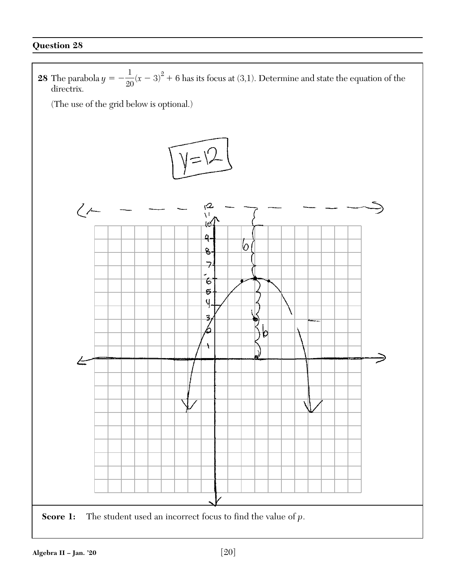![](_page_19_Figure_1.jpeg)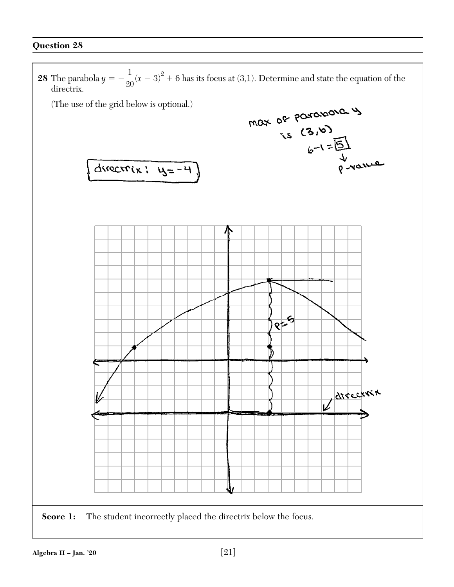![](_page_20_Figure_1.jpeg)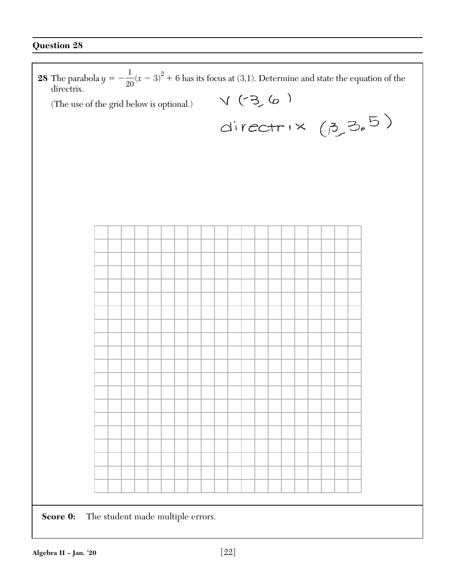r

| directrix.                                    | <b>28</b> The parabola $y = -\frac{1}{20}(x-3)^2 + 6$ has its focus at (3,1). Determine and state the equation of the |  |  |  |  |  |  |  |  |  |
|-----------------------------------------------|-----------------------------------------------------------------------------------------------------------------------|--|--|--|--|--|--|--|--|--|
| (The use of the grid below is optional.)      |                                                                                                                       |  |  |  |  |  |  |  |  |  |
|                                               | $V(3, 6)$<br>directrix $(3, 3, 5)$                                                                                    |  |  |  |  |  |  |  |  |  |
|                                               |                                                                                                                       |  |  |  |  |  |  |  |  |  |
|                                               |                                                                                                                       |  |  |  |  |  |  |  |  |  |
|                                               |                                                                                                                       |  |  |  |  |  |  |  |  |  |
|                                               |                                                                                                                       |  |  |  |  |  |  |  |  |  |
|                                               |                                                                                                                       |  |  |  |  |  |  |  |  |  |
|                                               |                                                                                                                       |  |  |  |  |  |  |  |  |  |
|                                               |                                                                                                                       |  |  |  |  |  |  |  |  |  |
|                                               |                                                                                                                       |  |  |  |  |  |  |  |  |  |
|                                               |                                                                                                                       |  |  |  |  |  |  |  |  |  |
|                                               |                                                                                                                       |  |  |  |  |  |  |  |  |  |
|                                               |                                                                                                                       |  |  |  |  |  |  |  |  |  |
|                                               |                                                                                                                       |  |  |  |  |  |  |  |  |  |
|                                               |                                                                                                                       |  |  |  |  |  |  |  |  |  |
|                                               |                                                                                                                       |  |  |  |  |  |  |  |  |  |
|                                               |                                                                                                                       |  |  |  |  |  |  |  |  |  |
|                                               |                                                                                                                       |  |  |  |  |  |  |  |  |  |
|                                               |                                                                                                                       |  |  |  |  |  |  |  |  |  |
|                                               |                                                                                                                       |  |  |  |  |  |  |  |  |  |
|                                               |                                                                                                                       |  |  |  |  |  |  |  |  |  |
|                                               |                                                                                                                       |  |  |  |  |  |  |  |  |  |
|                                               |                                                                                                                       |  |  |  |  |  |  |  |  |  |
|                                               |                                                                                                                       |  |  |  |  |  |  |  |  |  |
|                                               |                                                                                                                       |  |  |  |  |  |  |  |  |  |
| The student made multiple errors.<br>Score 0: |                                                                                                                       |  |  |  |  |  |  |  |  |  |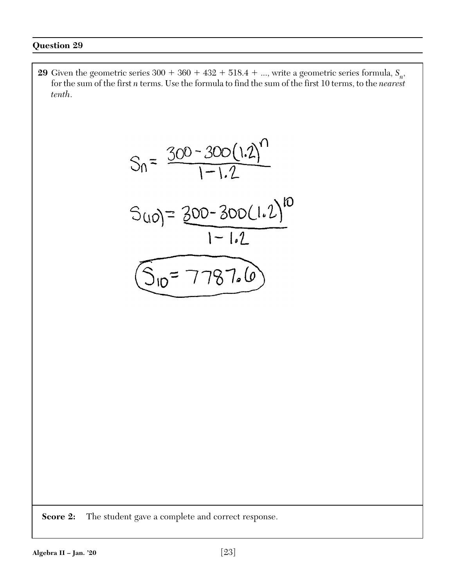**29** Given the geometric series  $300 + 360 + 432 + 518.4 + \ldots$ , write a geometric series formula,  $S_n$ , for the sum of the first *n* terms. Use the formula to find the sum of the first 10 terms, to the *nearest tenth*.

$$
S_0 = \frac{300 - 300(1.2)^n}{1 - 1.2}
$$
  

$$
S_{(10)} = \frac{300 - 300(1.2)^{10}}{1 - 1.2}
$$
  

$$
\underbrace{(S_{10} = 7.787.6)}_{}
$$

**Score 2:** The student gave a complete and correct response.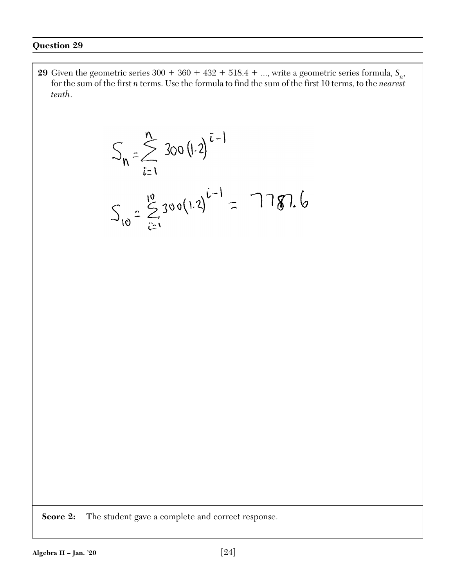**29** Given the geometric series  $300 + 360 + 432 + 518.4 + \ldots$ , write a geometric series formula,  $S_n$ , for the sum of the first *n* terms. Use the formula to find the sum of the first 10 terms, to the *nearest tenth*.

$$
S_n = \sum_{i=1}^{n} 300 (1.2)^{i-1}
$$
  

$$
S_{10} = \sum_{i=1}^{10} 300 (1.2)^{i-1} = 7787.6
$$

**Score 2:** The student gave a complete and correct response.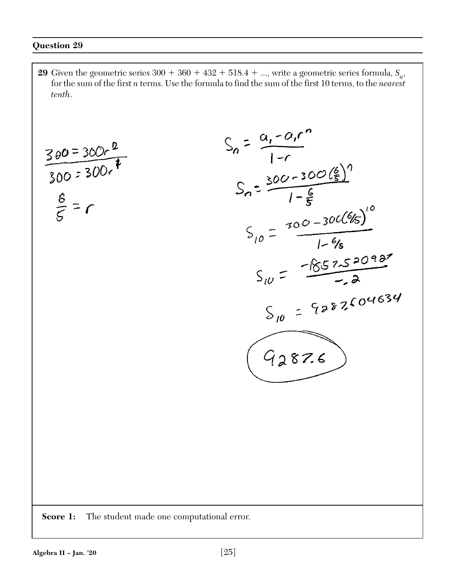**29** Given the geometric series  $300 + 360 + 432 + 518.4 + ...$ , write a geometric series formula,  $S_n$ , for the sum of the first *n* terms. Use the formula to find the sum of the first 10 terms, to the *nearest tenth*.

 $S_n = \frac{a_1 - a_1 r^n}{1 - r}$ <br> $S_n = \frac{300 - 300 {6 \choose 5}^n}{1 - \frac{6}{5}}$  $\frac{300=300.2}{300=300.4}$  $S_{10} = \frac{300-300(6/5)}{1-6/5}$ <br>-8.5252098  $S_{10} = \frac{-852520987}{-22}$  $S_{10}$  = 9287604634  $92876$ **Score 1:** The student made one computational error.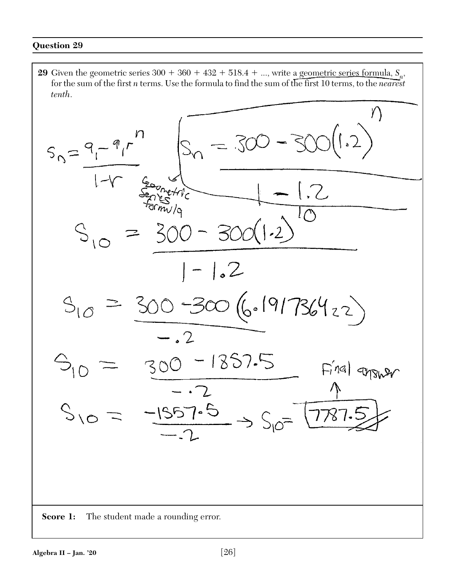**29** Given the geometric series  $300 + 360 + 432 + 518.4 + \ldots$ , write a geometric series formula,  $S_n$ , for the sum of the first *n* terms. Use the formula to find the sum of the first 10 terms, to the *nearest tenth*.

$$
S_{n} = \frac{q_{1} - q_{1}r^{n}}{1 - r_{\frac{600}{3000}r_{0}^{2} + r_{1}^{2}}}
$$
\n
$$
S_{10} = \frac{300 - 300(1.2)}{1 - 1.2}
$$
\n
$$
S_{10} = \frac{300 - 300(1.2)}{1 - 1.2}
$$
\n
$$
S_{10} = \frac{300 - 300(6.19178642)}{-.2}
$$
\n
$$
S_{10} = \frac{300 - 1857.5}{-.2} \Rightarrow S_{10} = \frac{5.781.5}{1.787.5}
$$
\n
$$
S_{10} = -\frac{1557.5}{-.2} \Rightarrow S_{10} = \frac{5.781.5}{1.787.5}
$$
\n
$$
S_{10} = \frac{1.557.5}{-.2} \Rightarrow S_{10} = \frac{5.787.5}{1.787.5}
$$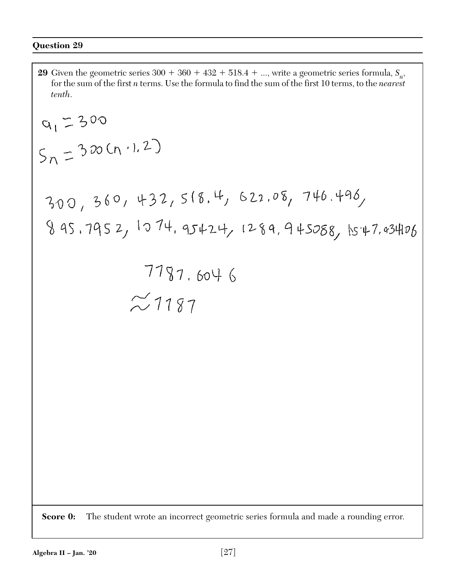**29** Given the geometric series  $300 + 360 + 432 + 518.4 + ...$ , write a geometric series formula,  $S_n$ , for the sum of the first *n* terms. Use the formula to find the sum of the first 10 terms, to the *nearest tenth*. $a_1 = 300$  $S_n = 300(n+1.2)$ 300, 360, 432, 5(8.4, 622.08, 746.496, 8 95.7952, 1074.95424, 1289.945088, 1547.934106  $7787.6046$  $\approx$  1187 **Score 0:** The student wrote an incorrect geometric series formula and made a rounding error.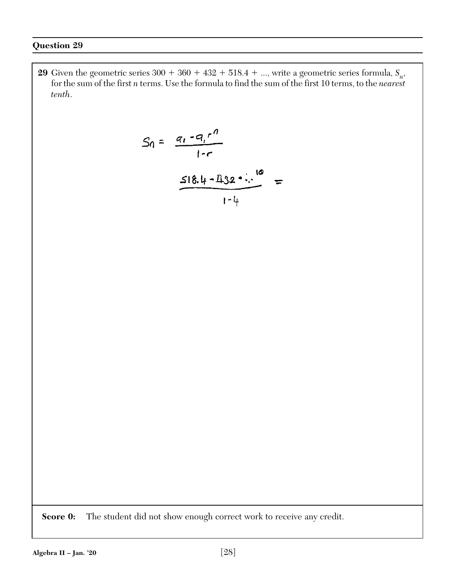**29** Given the geometric series  $300 + 360 + 432 + 518.4 + \ldots$ , write a geometric series formula,  $S_n$ , for the sum of the first *n* terms. Use the formula to find the sum of the first 10 terms, to the *nearest tenth*.

$$
S_0 = \frac{q_1 - q_1 r^n}{1 - r}
$$
  

$$
\frac{518.4 - 132 \cdot 10}{1 - 4} =
$$

**Score 0:** The student did not show enough correct work to receive any credit.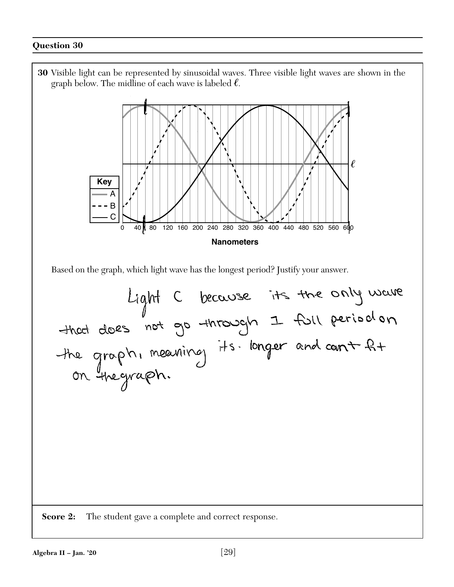![](_page_28_Figure_1.jpeg)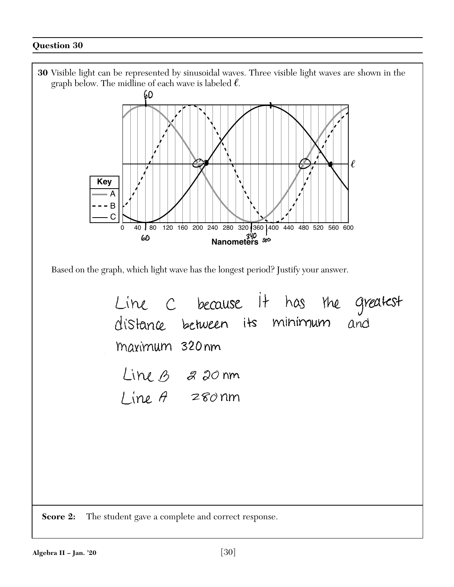![](_page_29_Figure_1.jpeg)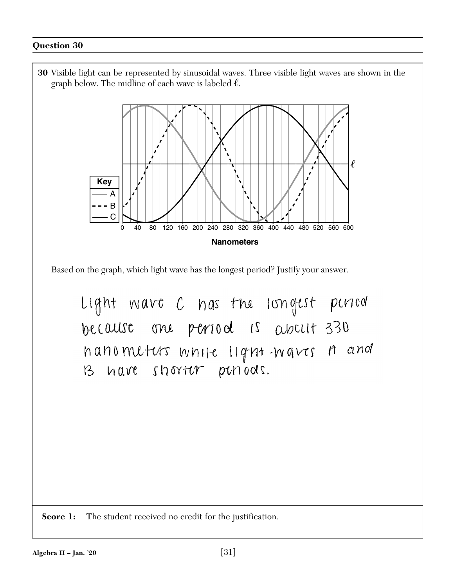![](_page_30_Figure_1.jpeg)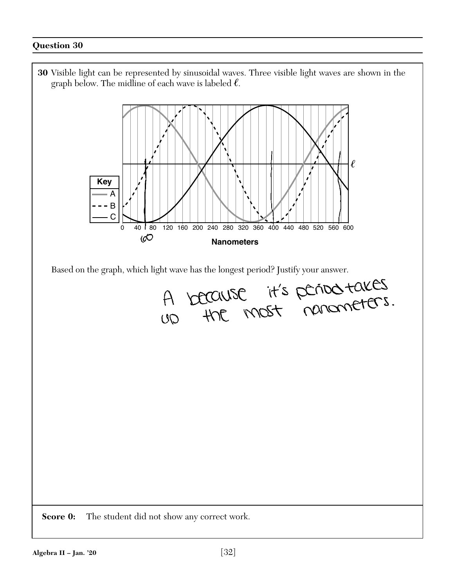![](_page_31_Figure_1.jpeg)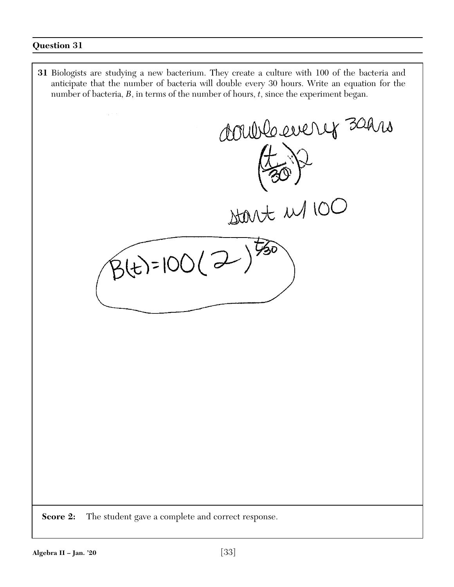**31** Biologists are studying a new bacterium. They create a culture with 100 of the bacteria and anticipate that the number of bacteria will double every 30 hours. Write an equation for the number of bacteria, *B*, in terms of the number of hours, *t*, since the experiment began. double evenit 30 hrs  $\frac{1}{2000}$  M  $\frac{1}{2000}$  $B(t)=100(2))$ **Score 2:** The student gave a complete and correct response.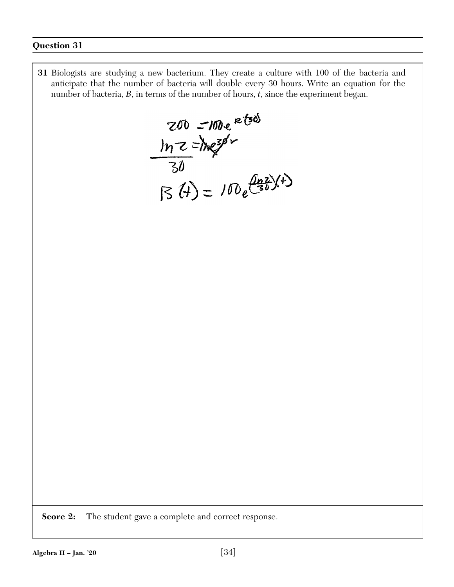**31** Biologists are studying a new bacterium. They create a culture with 100 of the bacteria and anticipate that the number of bacteria will double every 30 hours. Write an equation for the number of bacteria, *B*, in terms of the number of hours, *t*, since the experiment began.

 $200 = 100e^{e^{t/50}}$ <br>  $ln z = ln e^{s/50}$ <br>  $30 = 100e^{\frac{(hz)}{30}(t)}$ 

**Score 2:** The student gave a complete and correct response.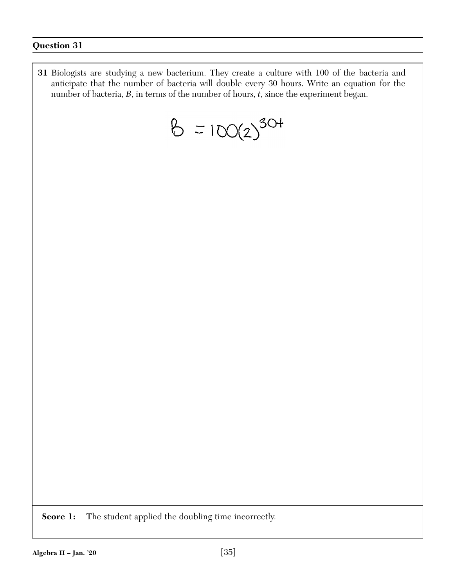**31** Biologists are studying a new bacterium. They create a culture with 100 of the bacteria and anticipate that the number of bacteria will double every 30 hours. Write an equation for the number of bacteria, *B*, in terms of the number of hours, *t*, since the experiment began.

$$
6 = 100(2)^{30+}
$$

**Score 1:** The student applied the doubling time incorrectly.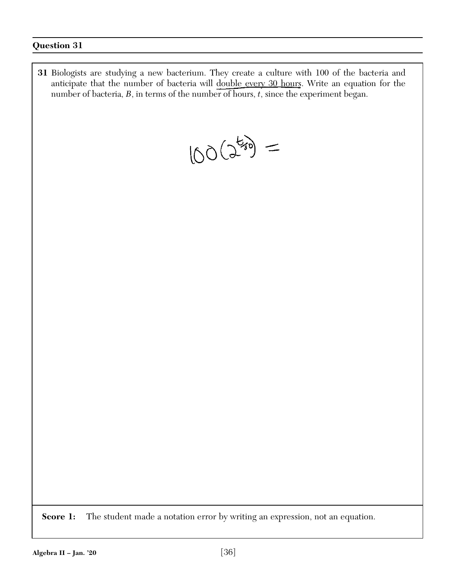**31** Biologists are studying a new bacterium. They create a culture with 100 of the bacteria and anticipate that the number of bacteria will double every 30 hours. Write an equation for the number of bacteria, *B*, in terms of the number of hours, *t*, since the experiment began.

 $100(2^{k_{10}})$  =

**Score 1:** The student made a notation error by writing an expression, not an equation.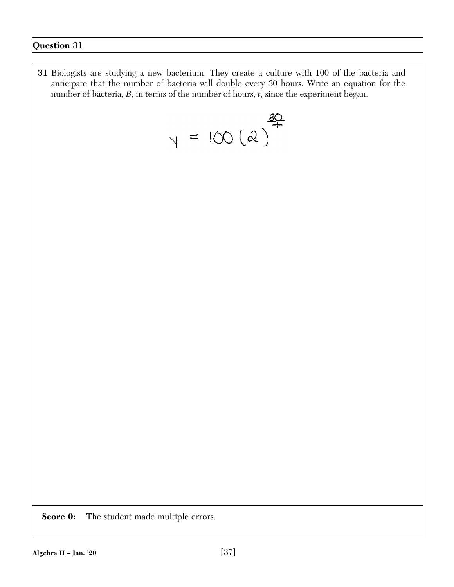**31** Biologists are studying a new bacterium. They create a culture with 100 of the bacteria and anticipate that the number of bacteria will double every 30 hours. Write an equation for the number of bacteria, *B*, in terms of the number of hours, *t*, since the experiment began.

 $y = 100 (2)^{\frac{30}{4}}$ 

**Score 0:** The student made multiple errors.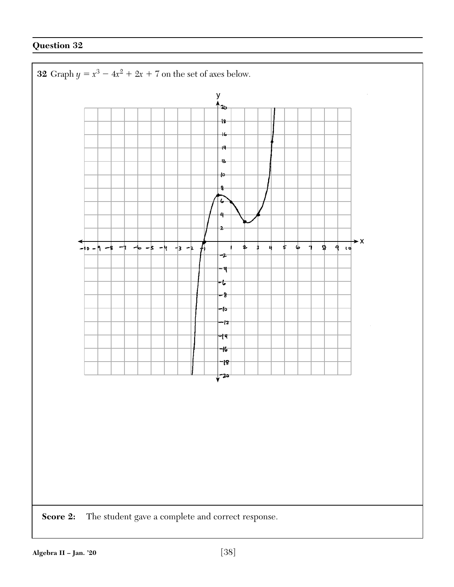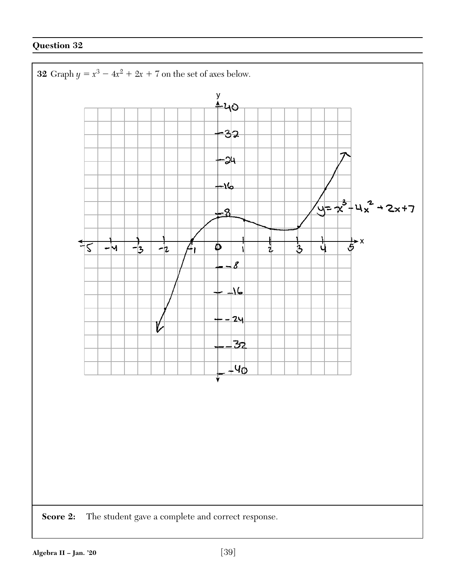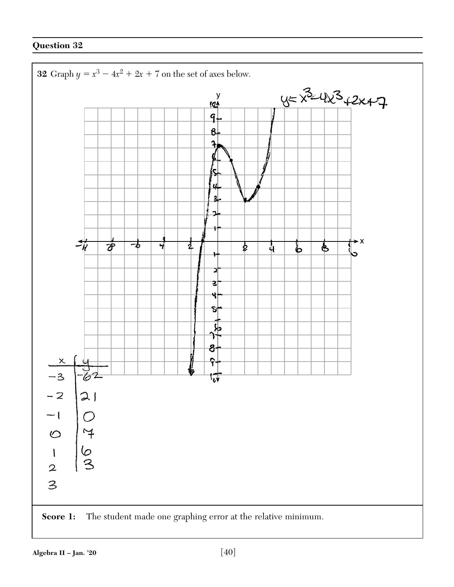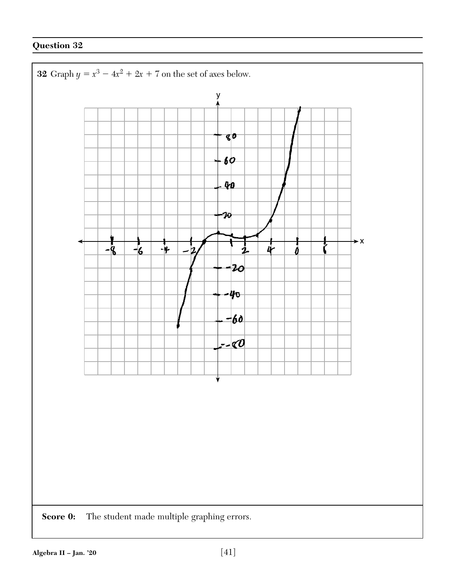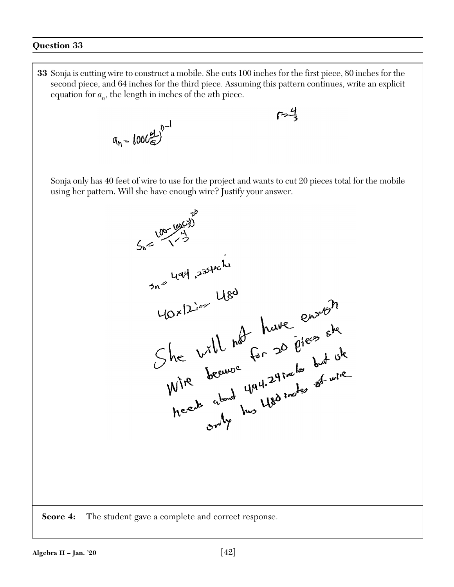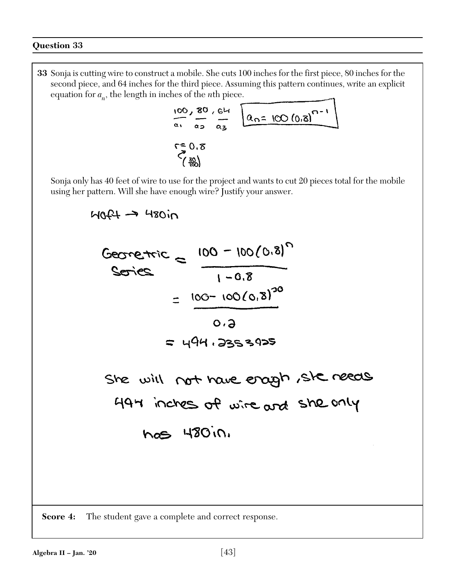**33** Sonja is cutting wire to construct a mobile. She cuts 100 inches for the first piece, 80 inches for the second piece, and 64 inches for the third piece. Assuming this pattern continues, write an explicit equation for  $a_n$ , the length in inches of the *n*th piece.

100, 80, 64  
\n
$$
\frac{100}{a_1} = \frac{80}{a_2} = \frac{64}{a_3} = \frac{64}{a_3} = 100 (0.8)^{n-1}
$$

 Sonja only has 40 feet of wire to use for the project and wants to cut 20 pieces total for the mobile using her pattern. Will she have enough wire? Justify your answer.

 $M0f4 \rightarrow 480i$ Georginic =  $\frac{100 - 100(0.8)^n}{1 - 0.8}$  $1 - 0.8$  $100 - 100(0,8)^{20}$  $\overline{\phantom{m}}$  $O.4$  $= 494.2353925$ She will not have enough, she needs<br>494 inches of wire and she only nos 480in.

**Score 4:** The student gave a complete and correct response.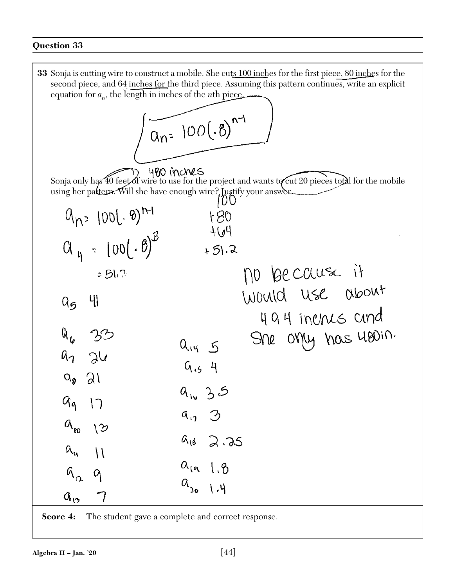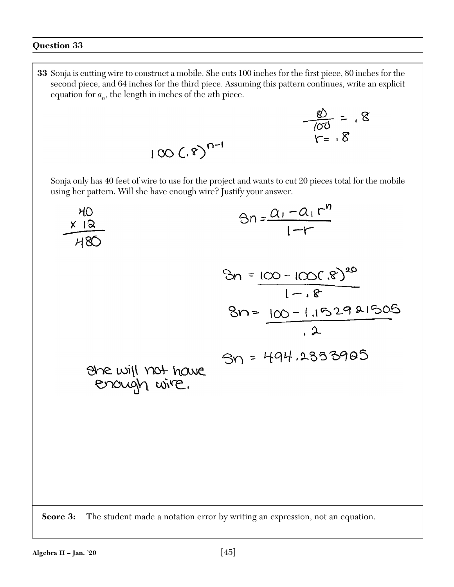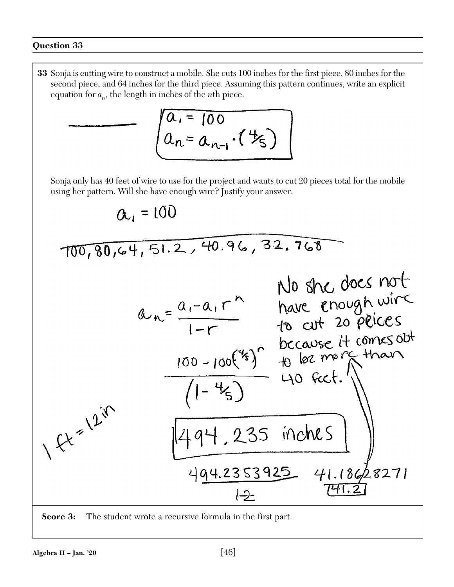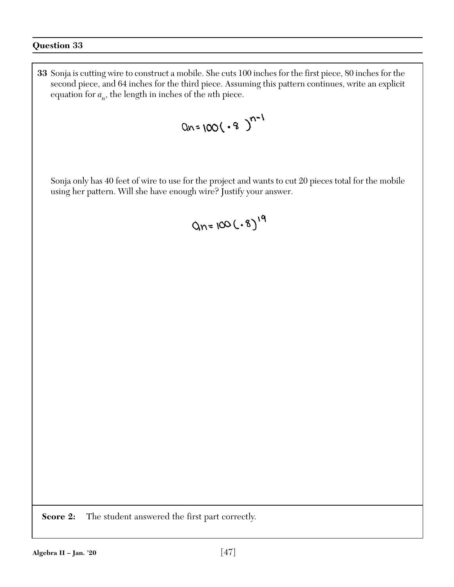**33** Sonja is cutting wire to construct a mobile. She cuts 100 inches for the first piece, 80 inches for the second piece, and 64 inches for the third piece. Assuming this pattern continues, write an explicit equation for  $a_n$ , the length in inches of the *n*th piece.

 Sonja only has 40 feet of wire to use for the project and wants to cut 20 pieces total for the mobile using her pattern. Will she have enough wire? Justify your answer.

$$
Qn = 100(.8)^{19}
$$

**Score 2:** The student answered the first part correctly.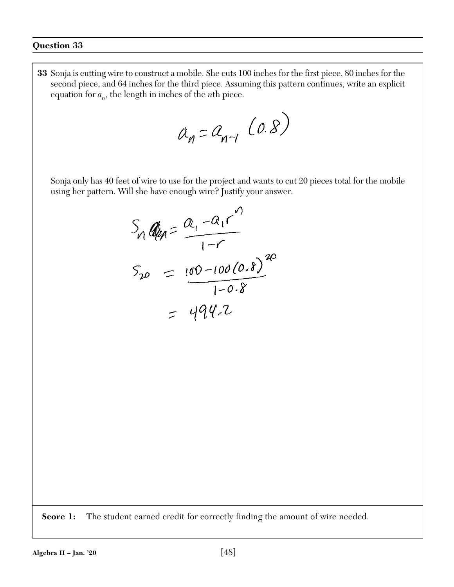**33** Sonja is cutting wire to construct a mobile. She cuts 100 inches for the first piece, 80 inches for the second piece, and 64 inches for the third piece. Assuming this pattern continues, write an explicit equation for  $a_n$ , the length in inches of the *n*th piece.

$$
a_n = a_{n-1} (0.8)
$$

 Sonja only has 40 feet of wire to use for the project and wants to cut 20 pieces total for the mobile using her pattern. Will she have enough wire? Justify your answer.

$$
S_{10} = \frac{a_{1} - a_{1}r^{1}}{1 - r}
$$
  

$$
S_{20} = \frac{100 - 100(0.8)}{1 - 0.8}
$$
  

$$
= 494.2
$$

**Score 1:** The student earned credit for correctly finding the amount of wire needed.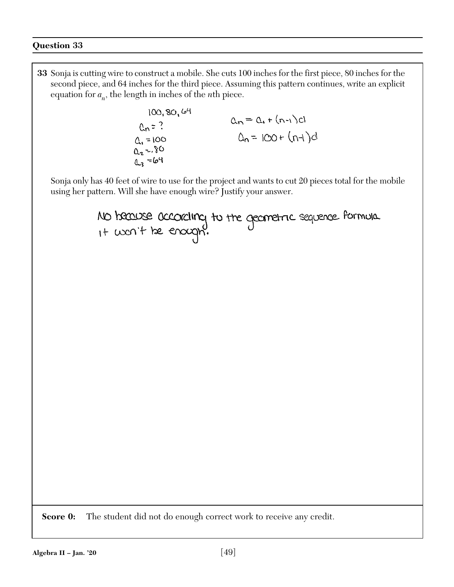**33** Sonja is cutting wire to construct a mobile. She cuts 100 inches for the first piece, 80 inches for the second piece, and 64 inches for the third piece. Assuming this pattern continues, write an explicit equation for  $a_n$ , the length in inches of the *n*th piece.  $100, 80, 64$  $a_n = a_n + (n-1)c!$  $ln 7$ ?  $Q_n = 100 + (n+1)d$  $0.100$  $Q_2 = 80$  $42 = 64$  Sonja only has 40 feet of wire to use for the project and wants to cut 20 pieces total for the mobile using her pattern. Will she have enough wire? Justify your answer.NO because according to the geometric sequence formula.<br>1+ won't be enough. **Score 0:** The student did not do enough correct work to receive any credit. **Algebra II – Jan. '20** [49]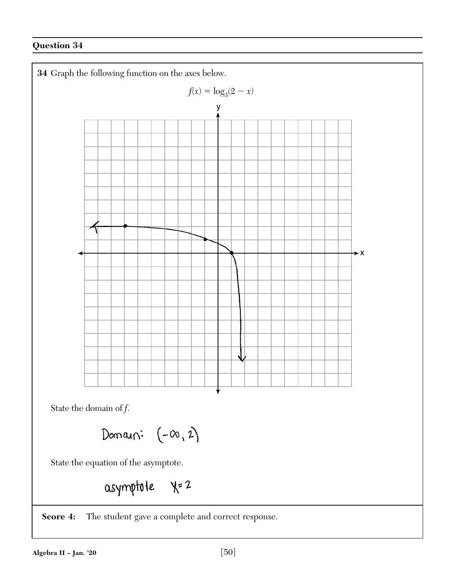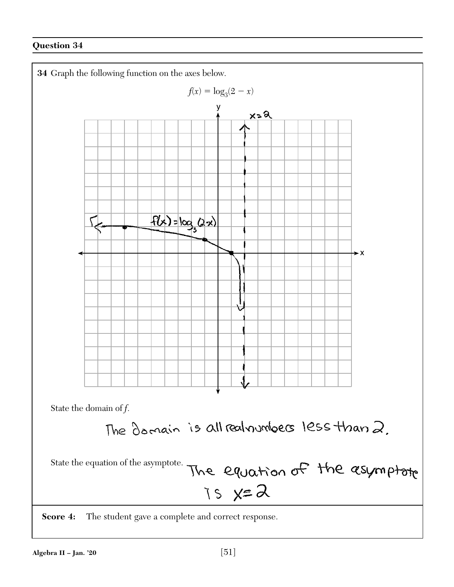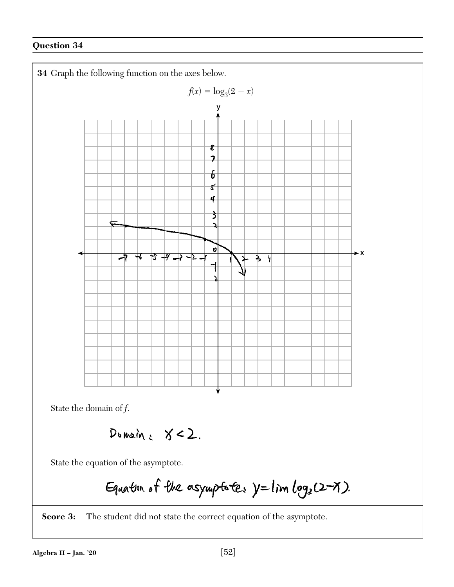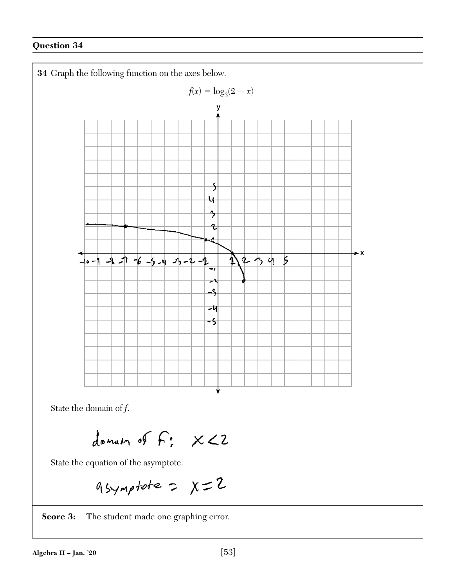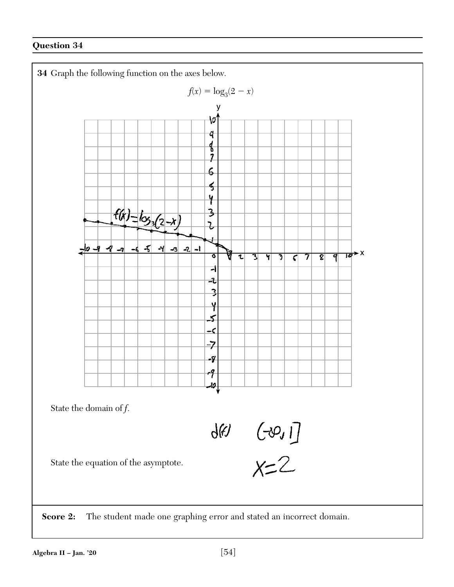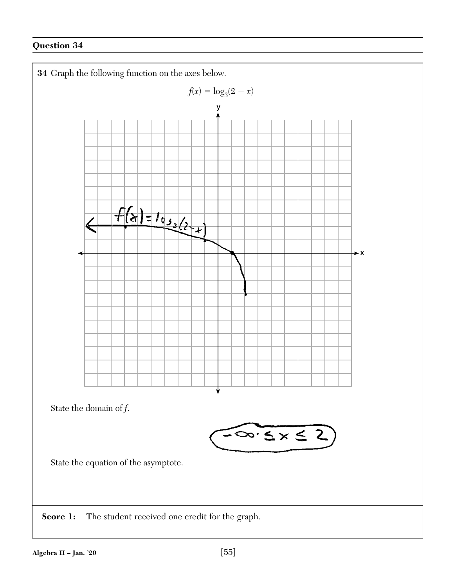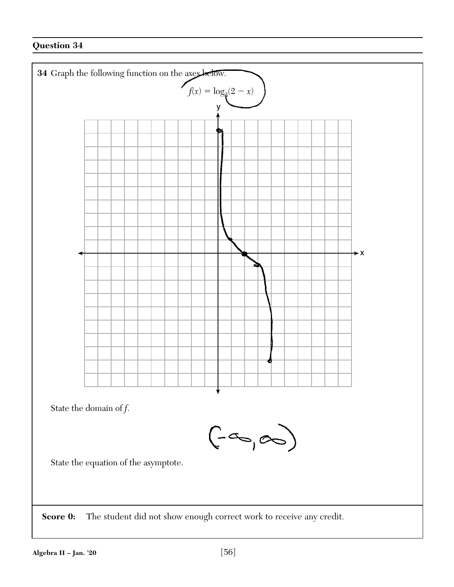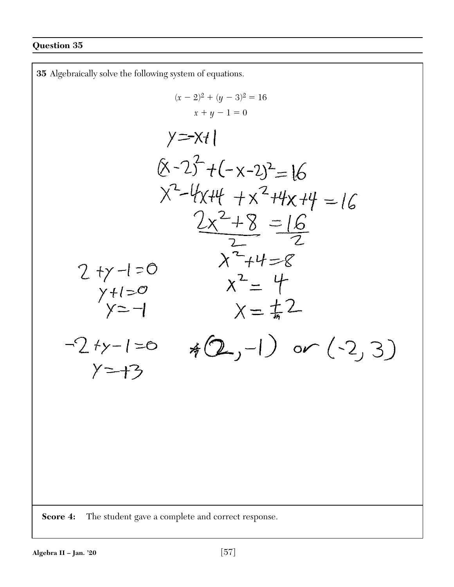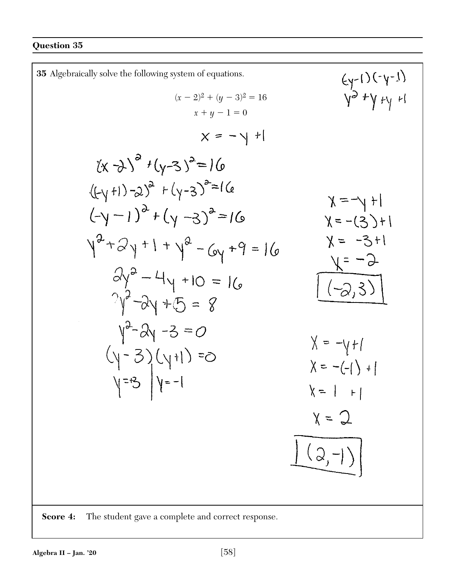35 Algebraically solve the following system of equations.  
\n
$$
(x-2)^2 + (y-3)^2 = 16
$$
\n
$$
(x-2)^2 + (y-3)^2 = 16
$$
\n
$$
(x-4)^3 + (y-3)^2 = 16
$$
\n
$$
(x-5)^4 + (y-3)^2 = 16
$$
\n
$$
(x-4)^3 + (y-3)^2 = 16
$$
\n
$$
(x-5)^4 + (y-3)^2 = 16
$$
\n
$$
(x-4)^3 + (y-3)^2 = 16
$$
\n
$$
(x-4)^3 + (y-3)^2 = 16
$$
\n
$$
(x-5)^4 + (y-3)^2 = 16
$$
\n
$$
(x-4)^2 + (y-3)^2 = 16
$$
\n
$$
(x-5)^4 + (y-3)^2 = 16
$$
\n
$$
(x-4)^3 + (y-3)^2 = 16
$$
\n
$$
(x-5)^2 + (y-3)^2 = 16
$$
\n
$$
(x-5)^2 + (y-3)^2 = 16
$$
\n
$$
(x-5)^2 + (y-3)^2 = 16
$$
\n
$$
(x-5)^2 + (y-3)^2 = 16
$$
\n
$$
(x-5)^2 + (y-3)^2 = 16
$$
\n
$$
(x-5)^2 + (y-3)^2 = 16
$$
\n
$$
(x-5)^2 + (y-3)^2 = 16
$$
\n
$$
(x-5)^2 + (y-3)^2 = 16
$$
\n
$$
(x-5)^2 + (y-3)^2 = 16
$$
\n
$$
(x-5)^2 + (y-3)^2 = 16
$$
\n
$$
(x-5)^2 + (y-3)^2 = 16
$$
\n
$$
(x-5)^2 + (y-3)^2 = 16
$$
\n
$$
(x-5)^2 + (y-3)^2 = 16
$$
\n
$$
(x-5)^2 + (y-3)^2 = 16
$$
\n
$$
(x-5)^2 + (y-3)^2 = 16
$$
\n
$$
(x-5)^2 + (y-3)^2 = 16
$$
\n
$$
(x-5)^2 + (y-3)^2 = 16
$$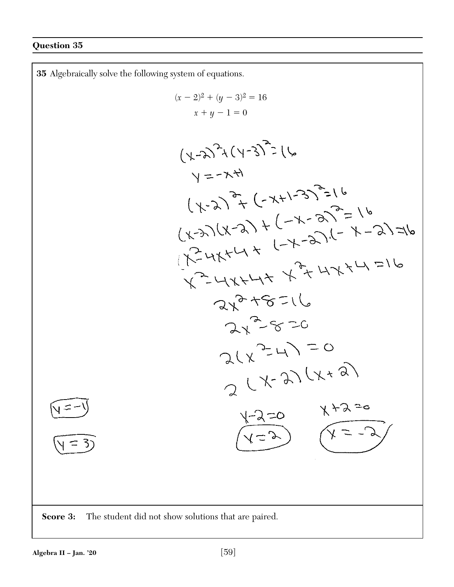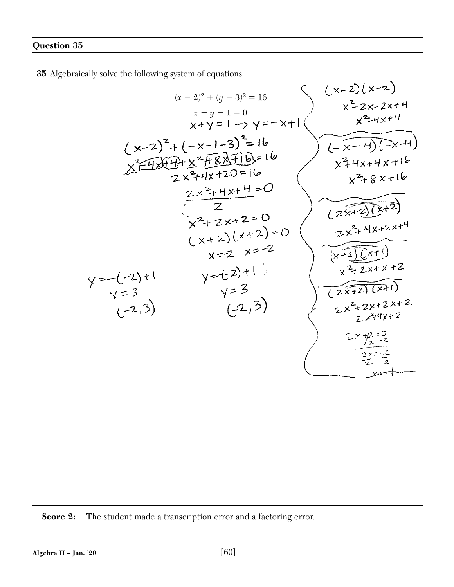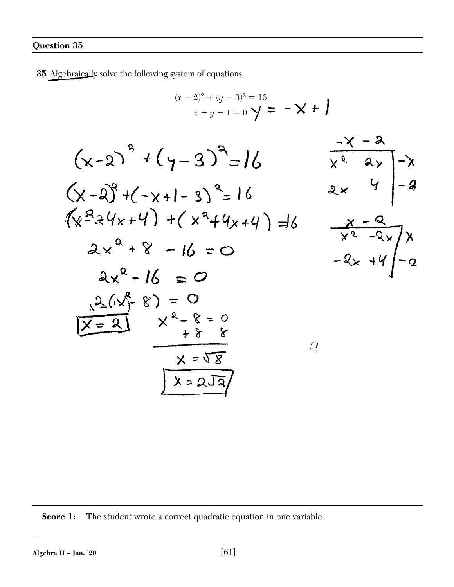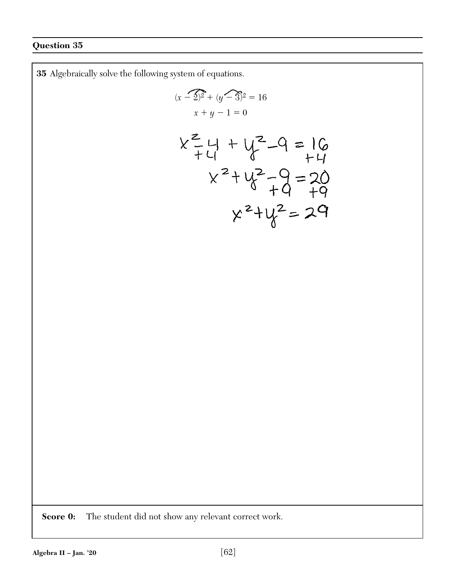**35** Algebraically solve the following system of equations.

$$
(x - 2)^2 + (y - 3)^2 = 16
$$
  

$$
x + y - 1 = 0
$$

$$
x^{2}+4+y^{2}-9=16
$$
  
\n $x^{2}+y^{2}-9=20$   
\n $x^{2}+y^{2}-9=20$   
\n $x^{2}+y^{2}=29$ 

**Score 0:** The student did not show any relevant correct work.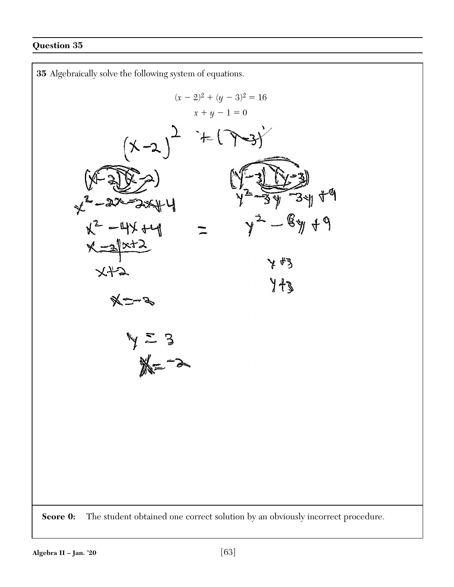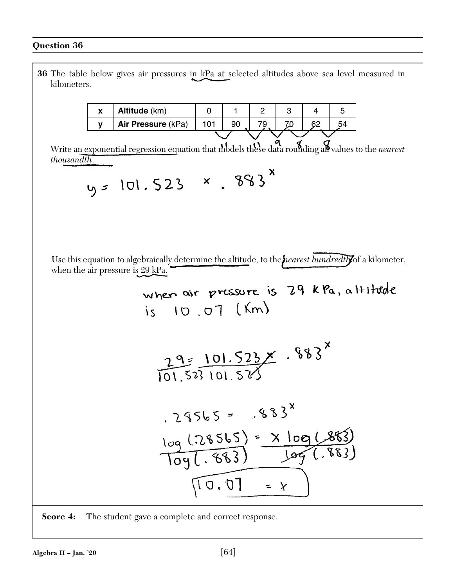**36** The table below gives air pressures in kPa at selected altitudes above sea level measured in kilometers.

| Y | Altitude (km)      |  |  |  |     |
|---|--------------------|--|--|--|-----|
|   | Air Pressure (kPa) |  |  |  | .54 |
|   |                    |  |  |  |     |

Write an exponential regression equation that models these data rounding all values to the *nearest thousandth*.

$$
y = 101.523 \times .883^x
$$

Use this equation to algebraically determine the altitude, to the *nearest hundredth* of a kilometer, when the air pressure is 29 kPa.

where air pressure is 29 kPa, a Hiltude  
\nis 10.07 (km)  
\n
$$
\frac{29}{101.523101.523} \times .883^{x}
$$
\n
$$
\frac{29 \times 101.523 \times .883^{x}}{101.523101.523}
$$
\n
$$
\frac{109(.28565) \times 109(.883)}{109(.883)} = \frac{109(.883)}{109(.883)}
$$

**Score 4:** The student gave a complete and correct response.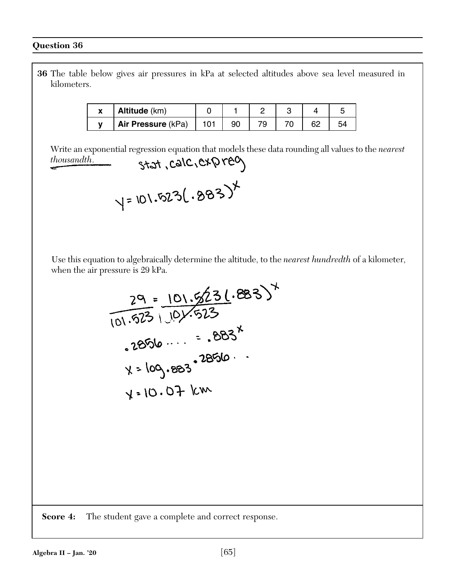**36** The table below gives air pressures in kPa at selected altitudes above sea level measured in kilometers.

| Altitude (km)      |  |  |  |
|--------------------|--|--|--|
| Air Pressure (kPa) |  |  |  |

Write an exponential regression equation that models these data rounding all values to the *nearest* thousandth.<br>
Stat, CalC, C\*Q re<sup>0</sup> *thousandth*.

 Use this equation to algebraically determine the altitude, to the *nearest hundredth* of a kilometer, when the air pressure is 29 kPa.

$$
\frac{29}{101.523} \times \frac{101.5231.883^{4}}{101.523}
$$
\n
$$
2856 \times 2856
$$
\n
$$
x = 109.883^{22856}
$$
\n
$$
x = 109.883^{22856}
$$

**Score 4:** The student gave a complete and correct response.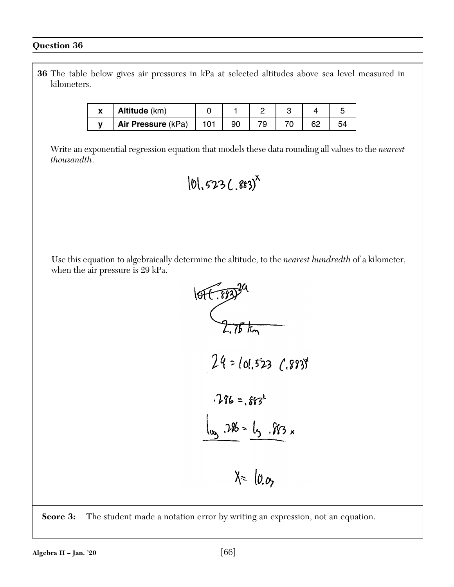**36** The table below gives air pressures in kPa at selected altitudes above sea level measured in kilometers.

| $\mathbf{v}$ | Altitude (km)      |  |  |  |
|--------------|--------------------|--|--|--|
|              | Air Pressure (kPa) |  |  |  |

 Write an exponential regression equation that models these data rounding all values to the *nearest thousandth*.

$$
|0|, 523 (.883)^x
$$

 Use this equation to algebraically determine the altitude, to the *nearest hundredth* of a kilometer, when the air pressure is 29 kPa.



**Score 3:** The student made a notation error by writing an expression, not an equation.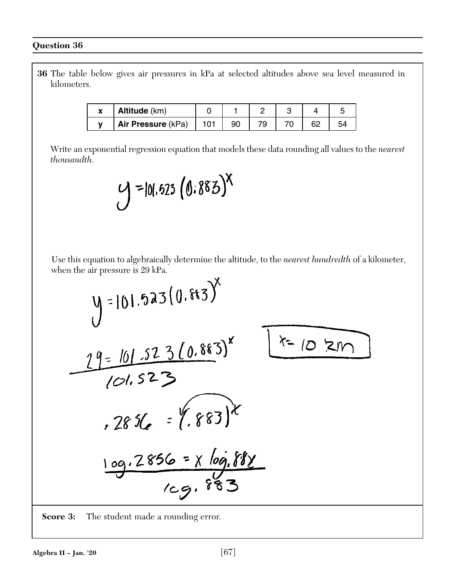**36** The table below gives air pressures in kPa at selected altitudes above sea level measured in kilometers.

| Altitude (km)      |  |  |  |
|--------------------|--|--|--|
| Air Pressure (kPa) |  |  |  |

 Write an exponential regression equation that models these data rounding all values to the *nearest thousandth*.

$$
y = 101.623 (0.883)^{x}
$$

 Use this equation to algebraically determine the altitude, to the *nearest hundredth* of a kilometer, when the air pressure is 29 kPa.

$$
y = 101.523(0.883)^{x}
$$
  
\n19 = 101.523(0.883)^{x}  
\n101.523  
\n2856 = X log.88  
\nlog.2856 = X log.882  
\nlog.883

**Score 3:** The student made a rounding error.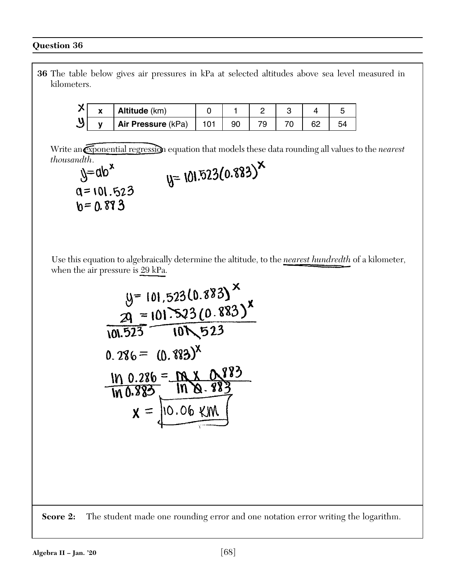**36** The table below gives air pressures in kPa at selected altitudes above sea level measured in kilometers.

|   | Altitude (km)      |  |  |  |
|---|--------------------|--|--|--|
| v | Air Pressure (kPa) |  |  |  |

Write an *exponential regression* equation that models these data rounding all values to the *nearest*  $y = 101.523(0.883)^{x}$ 

thousandth.  $a = 101.523$  $b = 0.893$ 

 Use this equation to algebraically determine the altitude, to the *nearest hundredth* of a kilometer, when the air pressure is 29 kPa.

$$
y = 101,523(0.883)^{x}
$$
  
\n
$$
2q = 101.523(0.883)^{x}
$$
  
\n101.523 (0.883)^{x}  
\n0.286 = (0.883)^{x}  
\n101 0.286 = M x 0.883  
\n100.883 101 0.883  
\n
$$
x = 10.06
$$
 100

**Score 2:** The student made one rounding error and one notation error writing the logarithm.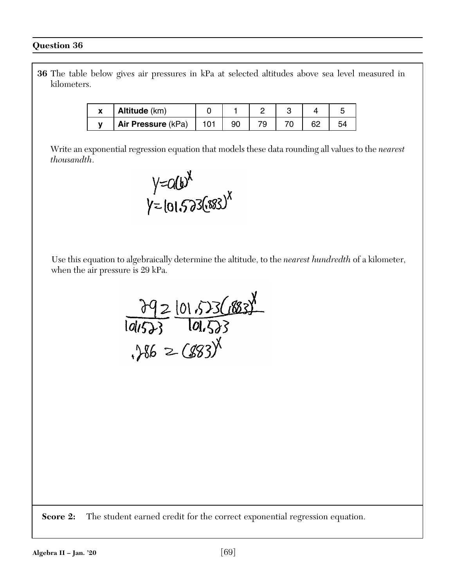**36** The table below gives air pressures in kPa at selected altitudes above sea level measured in kilometers.

| Altitude (km)      |  |  |  |
|--------------------|--|--|--|
| Air Pressure (kPa) |  |  |  |

 Write an exponential regression equation that models these data rounding all values to the *nearest thousandth*.



 Use this equation to algebraically determine the altitude, to the *nearest hundredth* of a kilometer, when the air pressure is 29 kPa.



**Score 2:** The student earned credit for the correct exponential regression equation.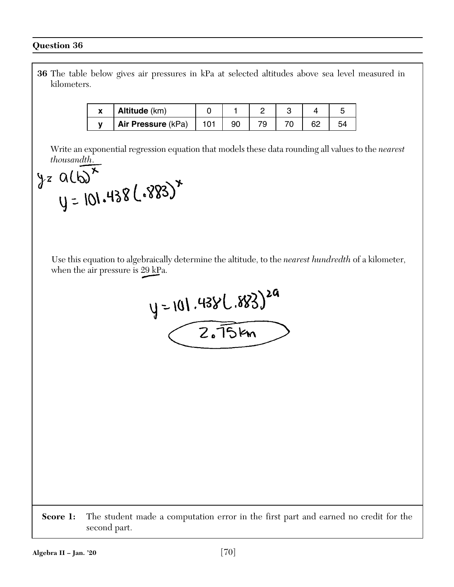**36** The table below gives air pressures in kPa at selected altitudes above sea level measured in kilometers.

| ~ | Altitude (km)      |    |  |  |
|---|--------------------|----|--|--|
|   | Air Pressure (kPa) | 9ſ |  |  |

 Write an exponential regression equation that models these data rounding all values to the *nearest thousandth*.

$$
y = 01.438(-883)^{x}
$$
  
 $y = 101.438(-883)^{x}$ 

 Use this equation to algebraically determine the altitude, to the *nearest hundredth* of a kilometer, when the air pressure is 29 kPa.



**Score 1:** The student made a computation error in the first part and earned no credit for the second part.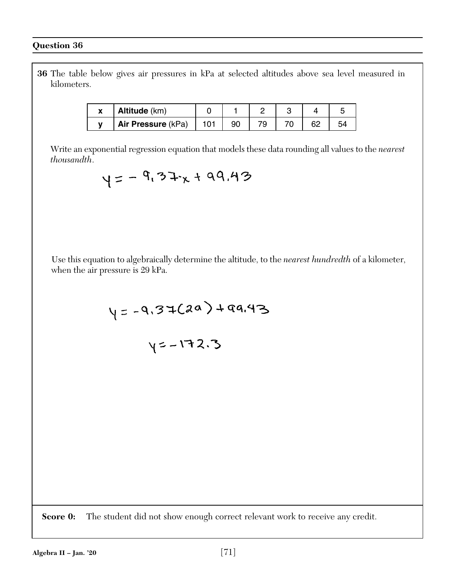**36** The table below gives air pressures in kPa at selected altitudes above sea level measured in kilometers.

| Altitude (km)      |  |  |  |
|--------------------|--|--|--|
| Air Pressure (kPa) |  |  |  |

 Write an exponential regression equation that models these data rounding all values to the *nearest thousandth*.

 $y=-9.37x+99.43$ 

 Use this equation to algebraically determine the altitude, to the *nearest hundredth* of a kilometer, when the air pressure is 29 kPa.

$$
\gamma = -9.37(20) + 99.43
$$

$$
y=-172.3
$$

**Score 0:** The student did not show enough correct relevant work to receive any credit.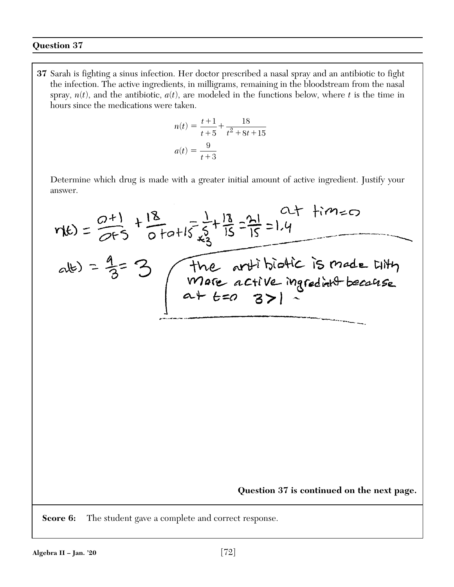**37** Sarah is fighting a sinus infection. Her doctor prescribed a nasal spray and an antibiotic to fight the infection. The active ingredients, in milligrams, remaining in the bloodstream from the nasal spray,  $n(t)$ , and the antibiotic,  $a(t)$ , are modeled in the functions below, where  $t$  is the time in hours since the medications were taken.

$$
n(t) = \frac{t+1}{t+5} + \frac{18}{t^2 + 8t + 15}
$$

$$
a(t) = \frac{9}{t+3}
$$

 Determine which drug is made with a greater initial amount of active ingredient. Justify your answer.

$$
r(t) = \frac{0+1}{0+5} + \frac{18}{0+0+15} + \frac{1}{5} + \frac{13}{15} = \frac{21}{15} = 1.4
$$
  
at  $t = 3$   
  
 $r(t) = \frac{9+1}{0+5} + \frac{18}{0+0+15} + \frac{1}{15} = \frac{21}{15} = 1.4$   
There are active ingredient because  
 $a + t = 0$  3 > 1

**Question 37 is continued on the next page.**

**Score 6:** The student gave a complete and correct response.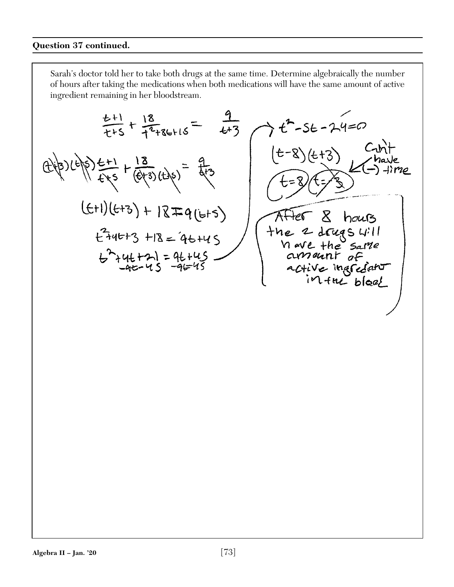$rac{t+1}{t+5} + \frac{18}{t^2+86+15} =$  $\frac{9}{6+3}$  $7t^2-56-24=0$  $(t-8)(t+3)$  $\frac{13}{645} + \frac{13}{(643)(48)} =$  $(f+1)(f+3) + 1879(f+5)$  $\mathcal{R}$ hours  $t^2$ +4 $t$ +3 +18 = 4 $t$ +45  $the$  2 drugs  $|||$ Viewe the same<br>armannt of<br>active inarciant  $6^{2}+46+21=96+45$ <br>-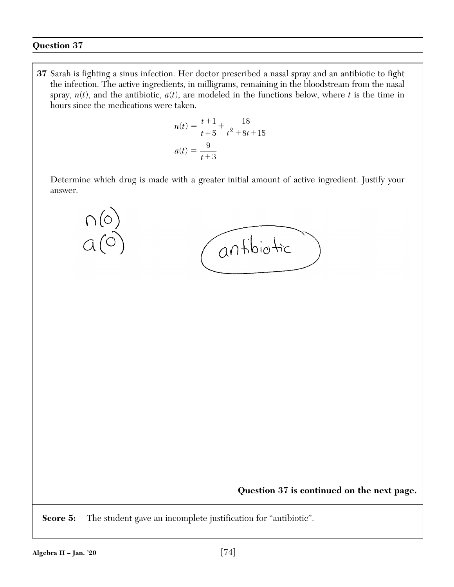**37** Sarah is fighting a sinus infection. Her doctor prescribed a nasal spray and an antibiotic to fight the infection. The active ingredients, in milligrams, remaining in the bloodstream from the nasal spray,  $n(t)$ , and the antibiotic,  $a(t)$ , are modeled in the functions below, where  $t$  is the time in hours since the medications were taken.

$$
n(t) = \frac{t+1}{t+5} + \frac{18}{t^2 + 8t + 15}
$$

$$
a(t) = \frac{9}{t+3}
$$

 Determine which drug is made with a greater initial amount of active ingredient. Justify your answer.



**Question 37 is continued on the next page.**

**Score 5:** The student gave an incomplete justification for "antibiotic".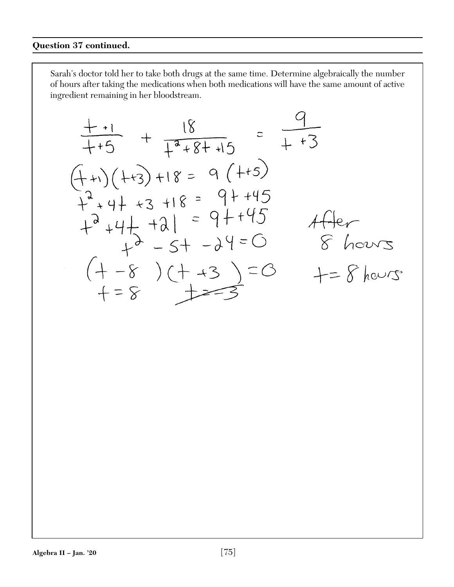$$
\frac{1+1}{1+5} + \frac{18}{1^{2}+8+15} = \frac{9}{1+3}
$$
\n
$$
(1+1)(1+3) + 18 = 9(+5)
$$
\n
$$
1^{3}+9+43+18 = 9+145
$$
\n
$$
1^{3}+9+1+311 = 9+145
$$
\n
$$
1^{3}+9+1+311 = 9+145
$$
\n
$$
1^{3}-5+39=0
$$
\n
$$
1^{3}-5+39=0
$$
\n
$$
1^{3}-8+39=0
$$
\n
$$
1^{4}-8+39=0
$$
\n
$$
1^{4}-8+39=0
$$
\n
$$
1^{4}-8+39=0
$$
\n
$$
1^{4}-8+39=0
$$
\n
$$
1^{4}-8+39=0
$$
\n
$$
1^{4}-8+39=0
$$
\n
$$
1^{4}-8+39=0
$$
\n
$$
1^{4}-8+39=0
$$
\n
$$
1^{4}-8+39=0
$$
\n
$$
1^{4}-8+39=0
$$
\n
$$
1^{4}-8+39=0
$$
\n
$$
1^{4}-8+39=0
$$
\n
$$
1^{4}-8+39=0
$$
\n
$$
1^{4}-8+39=0
$$
\n
$$
1^{4}-8+39=0
$$
\n
$$
1^{4}-8+39=0
$$
\n
$$
1^{4}-8+39=0
$$
\n
$$
1^{4}-8+39=0
$$
\n
$$
1^{4}-8+39=0
$$
\n
$$
1^{4}-8+39=0
$$
\n
$$
1^{4}-8+39=0
$$
\n
$$
1^{4}-8+39=0
$$
\n
$$
1^{4}-8+39=0
$$
\n
$$
1^{4}-8+39=0
$$
\n
$$
1^{4}-8+39=0
$$
\n
$$
1^{4}-8+39=0
$$
\n
$$
1^{4}-8+39=0
$$
\n<math display="block</math>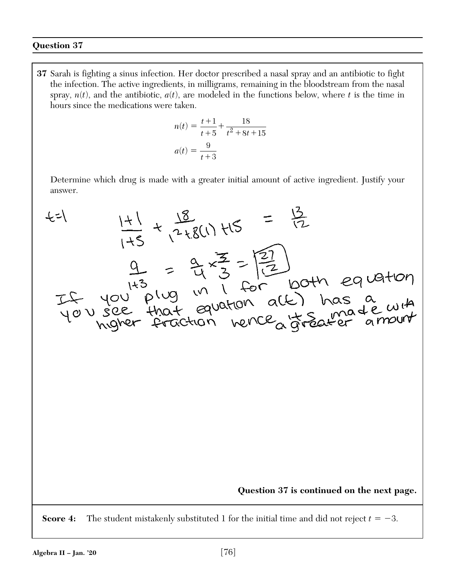**37** Sarah is fighting a sinus infection. Her doctor prescribed a nasal spray and an antibiotic to fight the infection. The active ingredients, in milligrams, remaining in the bloodstream from the nasal spray,  $n(t)$ , and the antibiotic,  $a(t)$ , are modeled in the functions below, where  $t$  is the time in hours since the medications were taken.

$$
n(t) = \frac{t+1}{t+5} + \frac{18}{t^2 + 8t + 15}
$$

$$
a(t) = \frac{9}{t+3}
$$

 Determine which drug is made with a greater initial amount of active ingredient. Justify your answer.

$$
45 \times 18
$$
\n
$$
\frac{11}{1+5} + \frac{18}{1+5} = \frac{13}{12}
$$
\n
$$
\frac{9}{1+3} = \frac{9}{14} \times \frac{3}{3} = \boxed{\frac{3}{12}}
$$
\n
$$
1+3 \times 3 = \boxed{\frac{3}{12}}
$$
\n
$$
1+3 \times 3 = \boxed{\frac{3}{12}}
$$
\n143

\n
$$
1+3 \times 3 = \boxed{\frac{3}{12}}
$$
\n154

\n165

\n176

\n188

\n189

\n190

\n100

\n101

\n102

\n103

\n11.6

\n120

\n137 is continued on the next page.

\n188

\n190

\n100

\n101

\n101

\n102

\n113

\n124

\n135

\n146

\n156

\n167

\n178

\n189

\n190

\n191

\n191

\n192

\n193

\n194

\n195

\n196

\n197

\n198

\n199

\n199

\n191

\n191

\n191

\n193

\n195

\n196

\n197

\n198

\n199

\n199

\n191

\n191

\n191

\n191

\n191

\n191

\n191

\n191

\n191

\n191

\n191

\n191

\n191

\n191

\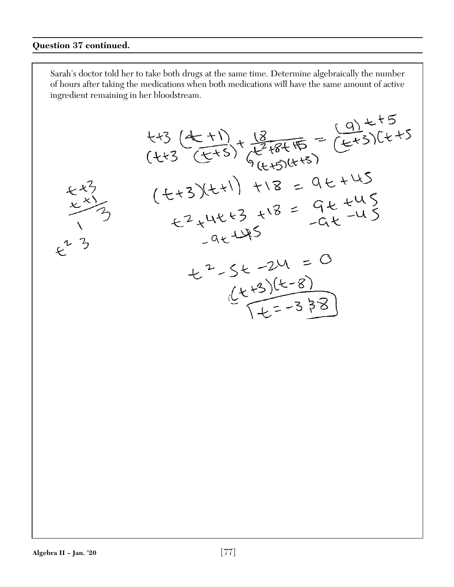### **Question 37 continued.**

Sarah's doctor told her to take both drugs at the same time. Determine algebraically the number of hours after taking the medications when both medications will have the same amount of active ingredient remaining in her bloodstream. $+5$  (+1)<br>(+2 (+1)<br>(+2)<br>(+2)<br>(+2 = 9 + 45)<br>(+4)<br>(+4)<br>+12 = 9 + 45  $(2.5)$ <br>  $(2.5)$ <br>  $(2.5)$ <br>  $(2.5)$ <br>  $(2.5)$ <br>  $(2.5)$ <br>  $(2.5)$ <br>  $(2.5)$ <br>  $(2.5)$ <br>  $(2.5)$ <br>  $(2.5)$ <br>  $(2.5)$ <br>  $(2.5)$ <br>  $(2.5)$ <br>  $(2.5)$ <br>  $(2.5)$ <br>  $(2.5)$ <br>  $(2.5)$ <br>  $(2.5)$ <br>  $(2.5)$ <br>  $(2.5)$ <br>  $(2.5)$ <br>  $(2.5)$ <br>  $(2.5)$ <br>  $(2.5$  $+2-5t-24 = 0$ <br>  $(t+3)(t-8)$ <br>  $(t+3)(t-8)$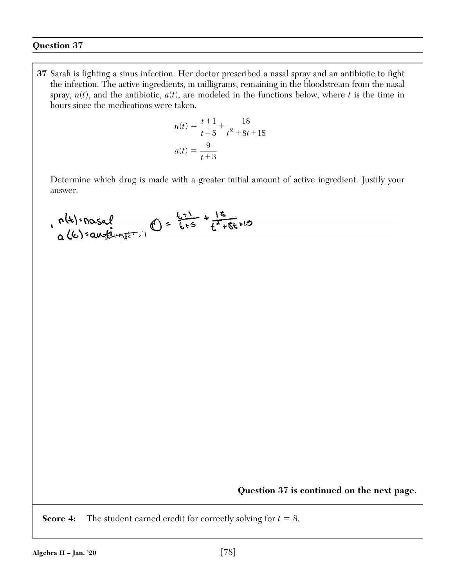**37** Sarah is fighting a sinus infection. Her doctor prescribed a nasal spray and an antibiotic to fight the infection. The active ingredients, in milligrams, remaining in the bloodstream from the nasal spray,  $n(t)$ , and the antibiotic,  $a(t)$ , are modeled in the functions below, where  $t$  is the time in hours since the medications were taken.

$$
n(t) = \frac{t+1}{t+5} + \frac{18}{t^2 + 8t + 15}
$$

$$
a(t) = \frac{9}{t+3}
$$

 Determine which drug is made with a greater initial amount of active ingredient. Justify your answer.

$$
0
$$
 (6) =  $0$  =  $0$  =  $0$  =  $0$  =  $0$  =  $0$  =  $0$  =  $0$  =  $0$  =  $0$  =  $0$  =  $0$  =  $0$  =  $0$  =  $0$  =  $0$  =  $0$  =  $0$  =  $0$  =  $0$  =  $0$  =  $0$  =  $0$  =  $0$  =  $0$  =  $0$  =  $0$  =  $0$  =  $0$  =  $0$  =  $0$  =  $0$  =  $0$  =  $0$  =  $0$  =  $0$  =  $0$  =  $0$  =  $0$  =  $0$  =  $0$  =  $0$  =  $0$  =  $0$  =  $0$  =  $0$  =  $0$  =  $0$  =  $0$  =  $0$  =  $0$  =  $0$  =  $0$  =  $0$  =  $0$  =  $0$  =  $0$  =  $0$  =  $0$  =  $0$  =  $0$  =  $0$  =  $0$  =  $0$  =  $0$  =  $0$  =  $0$  =  $0$  =  $0$  =  $0$  =  $0$  =  $0$  =  $0$  =  $0$  =  $0$  =  $0$  =  $0$  =  $0$  =  $0$  =  $0$  =  $0$  =  $0$  =  $0$  =  $0$  =  $0$  =  $0$  =  $0$  =  $0$  =  $0$  =  $0$  =  $0$  =  $0$  =  $0$  =  $0$  = 

**Question 37 is continued on the next page.**

**Score 4:** The student earned credit for correctly solving for  $t = 8$ .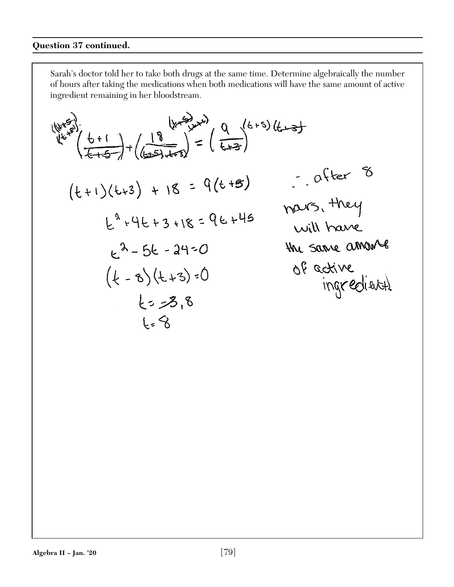$$
\begin{array}{ll}\n\left(\frac{1}{4}x^{3}\right) & \left(\frac{18}{4+5}\right)^{3} = \left(\frac{9}{4+3}\right)^{6+5} \text{ (6-3)} \\
\left(\frac{18}{4+5}\right) + \left(\frac{18}{4+5}\right) = 9(6+5) & \text{or } 0 \text{ for } 5\n\end{array}
$$
\n
$$
\begin{array}{ll}\n\left(\frac{1}{4}x^{3}\right) + 18 = 9(6+15) & \text{or } 0 \text{ for } 5\n\end{array}
$$
\n
$$
\begin{array}{ll}\n\left(\frac{1}{4}x^{2}\right) + 18 = 9(6+15) & \text{or } 0 \text{ for } 5\n\end{array}
$$
\n
$$
\begin{array}{ll}\n\left(\frac{1}{4}x^{2}\right) + 18 = 9(6+15) & \text{or } 0 \text{ for } 5\n\end{array}
$$
\n
$$
\begin{array}{ll}\n\left(\frac{1}{4}x^{2}\right) + 18 = 9(6+15) & \text{or } 0 \text{ for } 5\n\end{array}
$$
\n
$$
\begin{array}{ll}\n\left(\frac{1}{4}x^{3}\right) + 18 = 9(6+15) & \text{or } 0 \text{ for } 5\n\end{array}
$$
\n
$$
\begin{array}{ll}\n\left(\frac{1}{4}x^{2}\right) + 18 = 9(6+15) & \text{or } 0 \text{ for } 5\n\end{array}
$$
\n
$$
\begin{array}{ll}\n\left(\frac{1}{4}x^{3}\right) + 18 = 9(6+15) & \text{or } 0 \text{ for } 5\n\end{array}
$$
\n
$$
\begin{array}{ll}\n\left(\frac{1}{4}x^{3}\right) + 18 = 9(6+15) & \text{or } 0 \text{ for } 5\n\end{array}
$$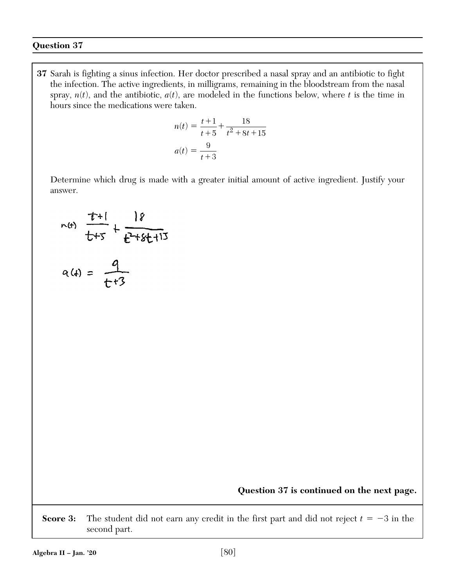**37** Sarah is fighting a sinus infection. Her doctor prescribed a nasal spray and an antibiotic to fight the infection. The active ingredients, in milligrams, remaining in the bloodstream from the nasal spray,  $n(t)$ , and the antibiotic,  $a(t)$ , are modeled in the functions below, where  $t$  is the time in hours since the medications were taken.

$$
n(t) = \frac{t+1}{t+5} + \frac{18}{t^2 + 8t + 15}
$$

$$
a(t) = \frac{9}{t+3}
$$

 Determine which drug is made with a greater initial amount of active ingredient. Justify your answer.

$$
r(t) = \frac{t+1}{t+5} + \frac{18}{t^2+8t+15}
$$

$$
a(4) = \frac{1}{t+3}
$$

**Question 37 is continued on the next page.**

**Score 3:** The student did not earn any credit in the first part and did not reject  $t = -3$  in the second part.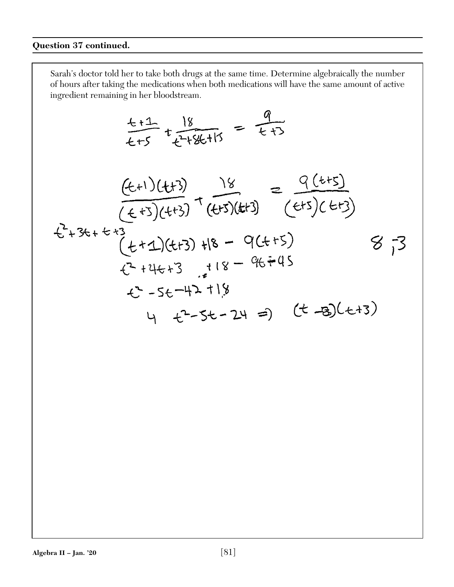## **Question 37 continued.**

$$
\frac{t+1}{t+5} + \frac{18}{t^2+8t+15} = \frac{9}{t+3}
$$

$$
\frac{(t+1)(t+3)}{(t+3)(t+3)} + \frac{18}{(t+3)(t+3)} = \frac{9(t+5)}{(t+3)(t+3)}
$$
  
\n
$$
\frac{t^2+3t+6+3}{(t+2)(t+3)} +18 - 9(t+5) = 8 - 73
$$
  
\n
$$
\frac{t^2+4t+3}{t^2-5t-42} +18 - 9t+45 = 18 - 9t+45
$$
  
\n
$$
\frac{t^3}{4} - 5t - 24 = 9 \quad (t-3)(t+3)
$$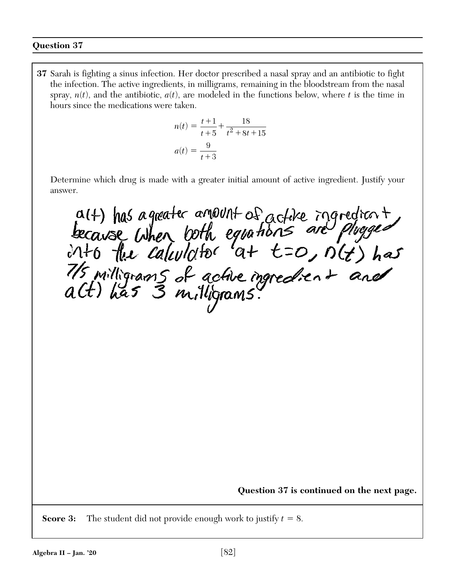**37** Sarah is fighting a sinus infection. Her doctor prescribed a nasal spray and an antibiotic to fight the infection. The active ingredients, in milligrams, remaining in the bloodstream from the nasal spray,  $n(t)$ , and the antibiotic,  $a(t)$ , are modeled in the functions below, where  $t$  is the time in hours since the medications were taken.

$$
n(t) = \frac{t+1}{t+5} + \frac{18}{t^2 + 8t + 15}
$$

$$
a(t) = \frac{9}{t+3}
$$

 Determine which drug is made with a greater initial amount of active ingredient. Justify your answer.

alt) has a greated amount of addre ingredient<br>because when both equations are phaged<br>into the calculator at  $t=0$ ,  $n(t)$  has<br>its milligrams of active ingredient and<br>act) has 3 milligrams.

**Question 37 is continued on the next page.**

**Score 3:** The student did not provide enough work to justify  $t = 8$ .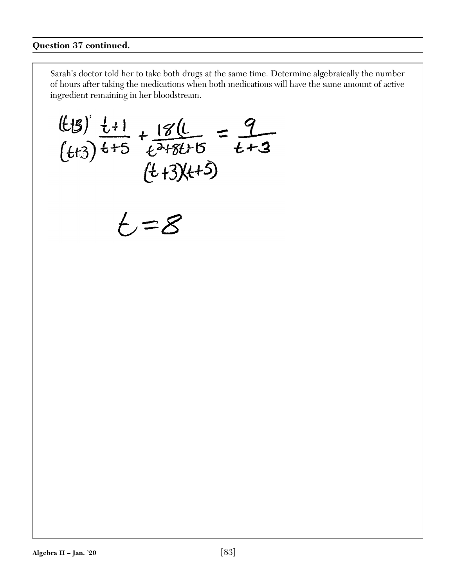(tt3)  $\frac{1+1}{t+5} + \frac{18(1)}{t^{2+8t+5}} = \frac{9}{t+3}$ <br>(tt3)  $t+5$   $(t+3)(t+5)$  $t = 8$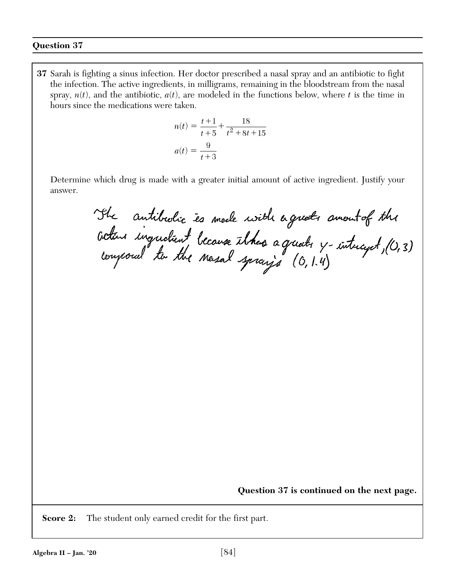**37** Sarah is fighting a sinus infection. Her doctor prescribed a nasal spray and an antibiotic to fight the infection. The active ingredients, in milligrams, remaining in the bloodstream from the nasal spray,  $n(t)$ , and the antibiotic,  $a(t)$ , are modeled in the functions below, where  $t$  is the time in hours since the medications were taken.

$$
n(t) = \frac{t+1}{t+5} + \frac{18}{t^2 + 8t + 15}
$$

$$
a(t) = \frac{9}{t+3}
$$

 Determine which drug is made with a greater initial amount of active ingredient. Justify your answer.

The antibulic es mede with a guets amout of the<br>Getan ingudient because thous a greats y-intucyct, (0,3)<br>Conpoul to the nesal spray's (0,1.4)

**Question 37 is continued on the next page.**

**Score 2:** The student only earned credit for the first part.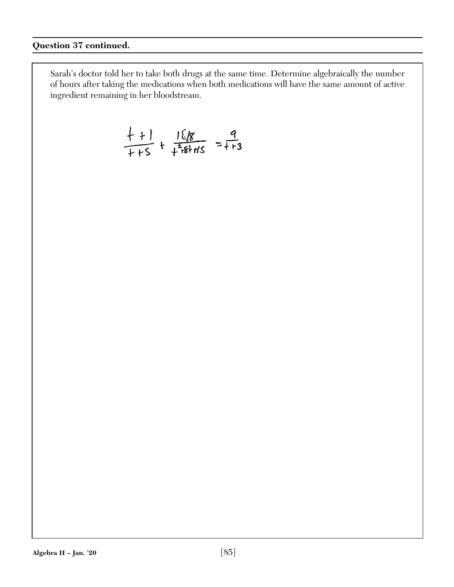$$
\frac{+}{+}+\frac{161}{+}+\frac{161}{+}+\frac{9}{1+3}
$$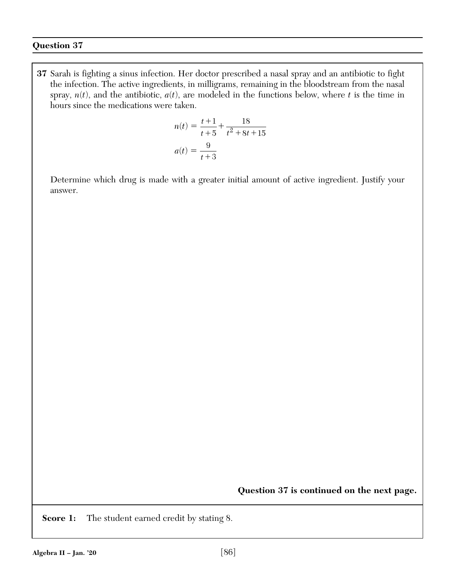**37** Sarah is fighting a sinus infection. Her doctor prescribed a nasal spray and an antibiotic to fight the infection. The active ingredients, in milligrams, remaining in the bloodstream from the nasal spray,  $n(t)$ , and the antibiotic,  $a(t)$ , are modeled in the functions below, where  $t$  is the time in hours since the medications were taken.

$$
n(t) = \frac{t+1}{t+5} + \frac{18}{t^2 + 8t + 15}
$$

$$
a(t) = \frac{9}{t+3}
$$

 Determine which drug is made with a greater initial amount of active ingredient. Justify your answer.

**Question 37 is continued on the next page.**

**Score 1:** The student earned credit by stating 8.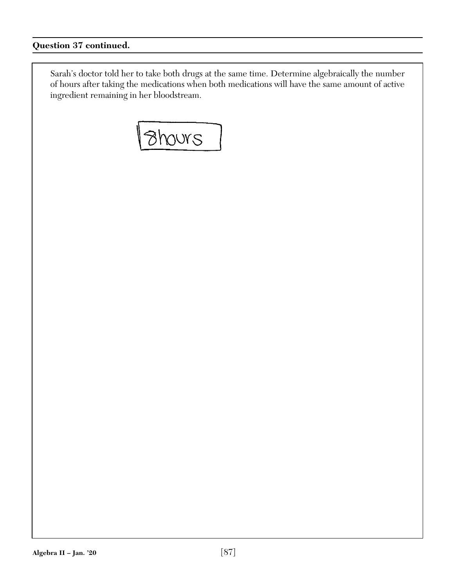**Bhours**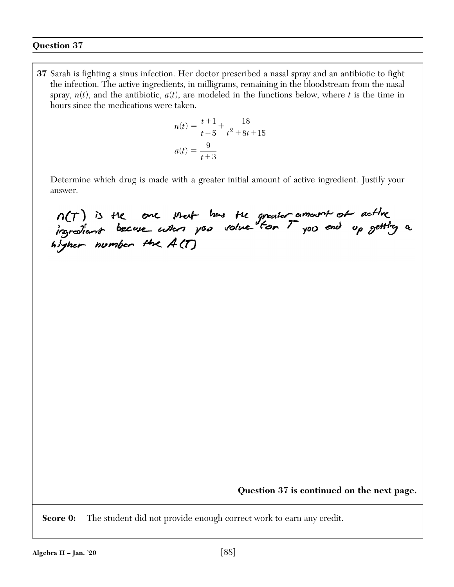**37** Sarah is fighting a sinus infection. Her doctor prescribed a nasal spray and an antibiotic to fight the infection. The active ingredients, in milligrams, remaining in the bloodstream from the nasal spray,  $n(t)$ , and the antibiotic,  $a(t)$ , are modeled in the functions below, where  $t$  is the time in hours since the medications were taken.

$$
n(t) = \frac{t+1}{t+5} + \frac{18}{t^2 + 8t + 15}
$$

$$
a(t) = \frac{9}{t+3}
$$

 Determine which drug is made with a greater initial amount of active ingredient. Justify your answer.

n(T) is the one that has the greater amount of active<br>ingrediant because when you volve for T you and up getting a

**Question 37 is continued on the next page.**

**Score 0:** The student did not provide enough correct work to earn any credit.